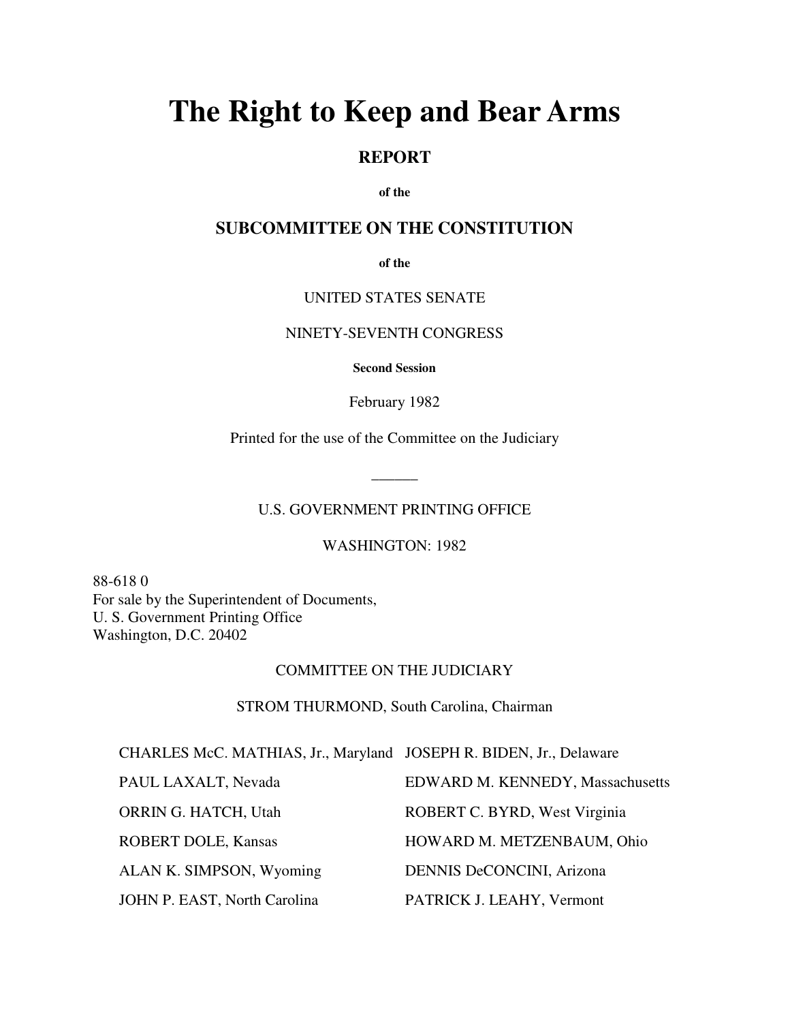# **The Right to Keep and Bear Arms**

# **REPORT**

#### **of the**

# **SUBCOMMITTEE ON THE CONSTITUTION**

**of the** 

#### UNITED STATES SENATE

#### NINETY-SEVENTH CONGRESS

**Second Session** 

February 1982

Printed for the use of the Committee on the Judiciary

U.S. GOVERNMENT PRINTING OFFICE

 $\overline{\phantom{a}}$ 

WASHINGTON: 1982

88-618 0 For sale by the Superintendent of Documents, U. S. Government Printing Office Washington, D.C. 20402

## COMMITTEE ON THE JUDICIARY

#### STROM THURMOND, South Carolina, Chairman

CHARLES McC. MATHIAS, Jr., Maryland JOSEPH R. BIDEN, Jr., Delaware

JOHN P. EAST, North Carolina PATRICK J. LEAHY, Vermont

PAUL LAXALT, Nevada EDWARD M. KENNEDY, Massachusetts ORRIN G. HATCH, Utah ROBERT C. BYRD, West Virginia ROBERT DOLE, Kansas HOWARD M. METZENBAUM, Ohio ALAN K. SIMPSON, Wyoming DENNIS DeCONCINI, Arizona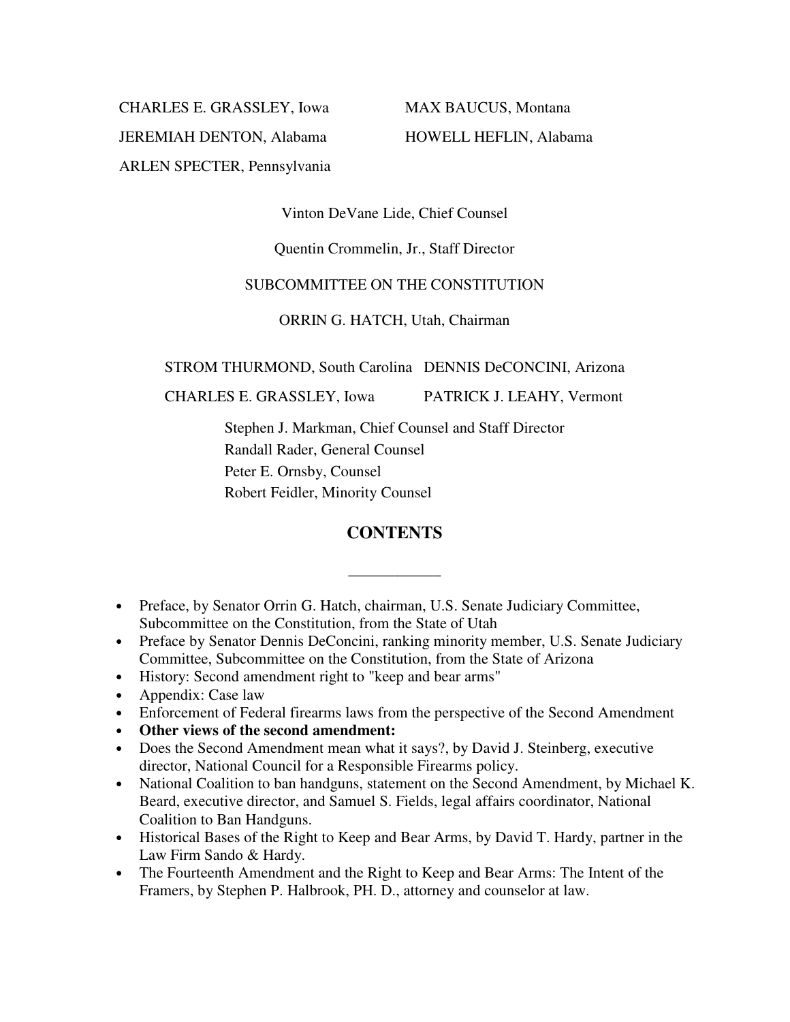CHARLES E. GRASSLEY, Iowa MAX BAUCUS, Montana JEREMIAH DENTON, Alabama HOWELL HEFLIN, Alabama ARLEN SPECTER, Pennsylvania

Vinton DeVane Lide, Chief Counsel

Quentin Crommelin, Jr., Staff Director

# SUBCOMMITTEE ON THE CONSTITUTION

### ORRIN G. HATCH, Utah, Chairman

STROM THURMOND, South Carolina DENNIS DeCONCINI, Arizona

CHARLES E. GRASSLEY, Iowa PATRICK J. LEAHY, Vermont

Stephen J. Markman, Chief Counsel and Staff Director Randall Rader, General Counsel Peter E. Ornsby, Counsel Robert Feidler, Minority Counsel

# **CONTENTS**

\_\_\_\_\_\_\_\_\_\_\_\_

- Preface, by Senator Orrin G. Hatch, chairman, U.S. Senate Judiciary Committee, Subcommittee on the Constitution, from the State of Utah
- Preface by Senator Dennis DeConcini, ranking minority member, U.S. Senate Judiciary Committee, Subcommittee on the Constitution, from the State of Arizona
- History: Second amendment right to "keep and bear arms"
- Appendix: Case law
- Enforcement of Federal firearms laws from the perspective of the Second Amendment
- **Other views of the second amendment:**
- Does the Second Amendment mean what it says?, by David J. Steinberg, executive director, National Council for a Responsible Firearms policy.
- National Coalition to ban handguns, statement on the Second Amendment, by Michael K. Beard, executive director, and Samuel S. Fields, legal affairs coordinator, National Coalition to Ban Handguns.
- Historical Bases of the Right to Keep and Bear Arms, by David T. Hardy, partner in the Law Firm Sando & Hardy.
- The Fourteenth Amendment and the Right to Keep and Bear Arms: The Intent of the Framers, by Stephen P. Halbrook, PH. D., attorney and counselor at law.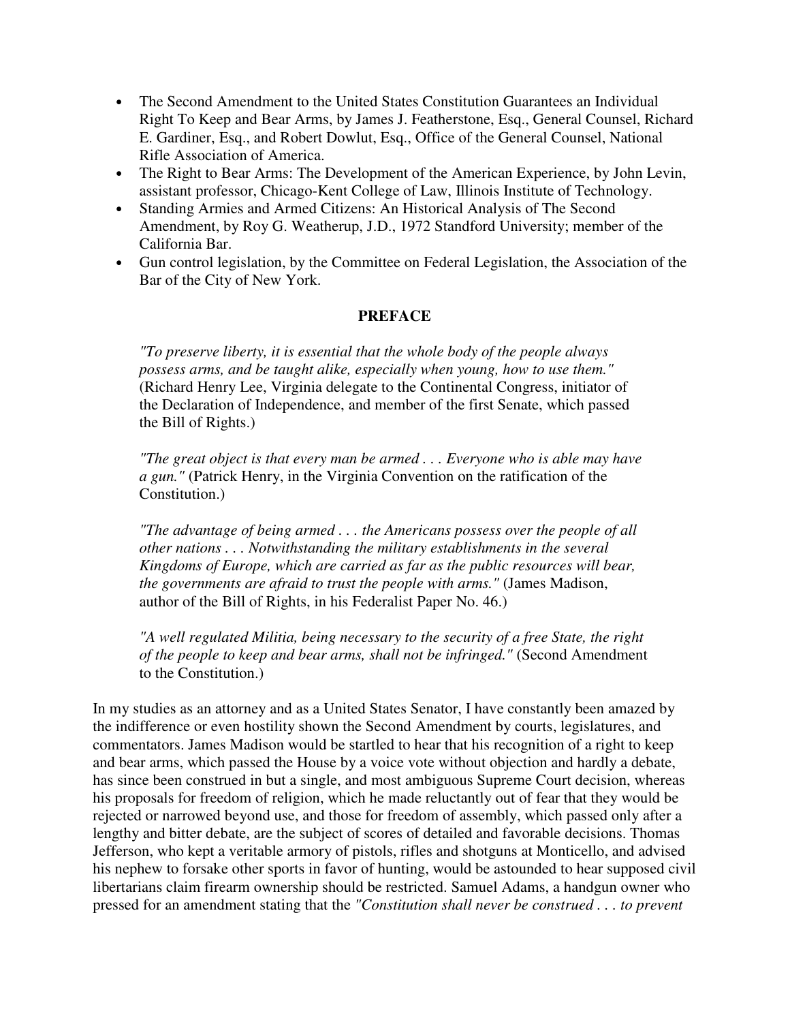- The Second Amendment to the United States Constitution Guarantees an Individual Right To Keep and Bear Arms, by James J. Featherstone, Esq., General Counsel, Richard E. Gardiner, Esq., and Robert Dowlut, Esq., Office of the General Counsel, National Rifle Association of America.
- The Right to Bear Arms: The Development of the American Experience, by John Levin, assistant professor, Chicago-Kent College of Law, Illinois Institute of Technology.
- Standing Armies and Armed Citizens: An Historical Analysis of The Second Amendment, by Roy G. Weatherup, J.D., 1972 Standford University; member of the California Bar.
- Gun control legislation, by the Committee on Federal Legislation, the Association of the Bar of the City of New York.

# **PREFACE**

*"To preserve liberty, it is essential that the whole body of the people always possess arms, and be taught alike, especially when young, how to use them."* (Richard Henry Lee, Virginia delegate to the Continental Congress, initiator of the Declaration of Independence, and member of the first Senate, which passed the Bill of Rights.)

*"The great object is that every man be armed . . . Everyone who is able may have a gun."* (Patrick Henry, in the Virginia Convention on the ratification of the Constitution.)

*"The advantage of being armed . . . the Americans possess over the people of all other nations . . . Notwithstanding the military establishments in the several Kingdoms of Europe, which are carried as far as the public resources will bear, the governments are afraid to trust the people with arms."* (James Madison, author of the Bill of Rights, in his Federalist Paper No. 46.)

*"A well regulated Militia, being necessary to the security of a free State, the right of the people to keep and bear arms, shall not be infringed."* (Second Amendment to the Constitution.)

In my studies as an attorney and as a United States Senator, I have constantly been amazed by the indifference or even hostility shown the Second Amendment by courts, legislatures, and commentators. James Madison would be startled to hear that his recognition of a right to keep and bear arms, which passed the House by a voice vote without objection and hardly a debate, has since been construed in but a single, and most ambiguous Supreme Court decision, whereas his proposals for freedom of religion, which he made reluctantly out of fear that they would be rejected or narrowed beyond use, and those for freedom of assembly, which passed only after a lengthy and bitter debate, are the subject of scores of detailed and favorable decisions. Thomas Jefferson, who kept a veritable armory of pistols, rifles and shotguns at Monticello, and advised his nephew to forsake other sports in favor of hunting, would be astounded to hear supposed civil libertarians claim firearm ownership should be restricted. Samuel Adams, a handgun owner who pressed for an amendment stating that the *"Constitution shall never be construed . . . to prevent*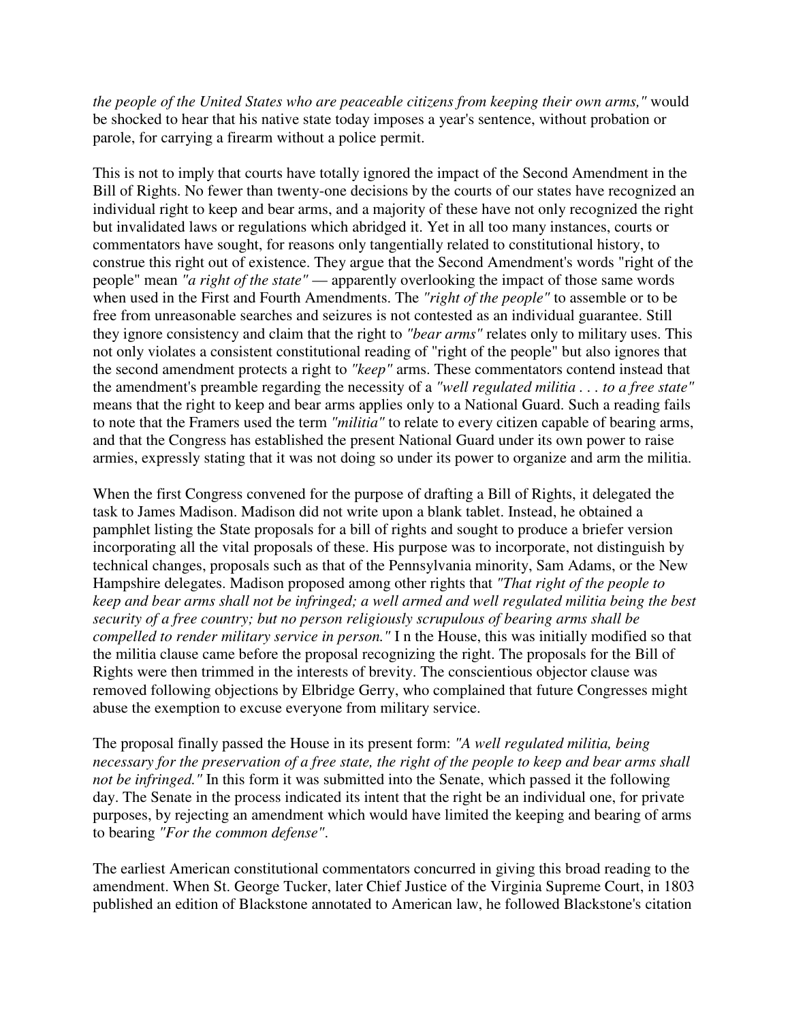*the people of the United States who are peaceable citizens from keeping their own arms,"* would be shocked to hear that his native state today imposes a year's sentence, without probation or parole, for carrying a firearm without a police permit.

This is not to imply that courts have totally ignored the impact of the Second Amendment in the Bill of Rights. No fewer than twenty-one decisions by the courts of our states have recognized an individual right to keep and bear arms, and a majority of these have not only recognized the right but invalidated laws or regulations which abridged it. Yet in all too many instances, courts or commentators have sought, for reasons only tangentially related to constitutional history, to construe this right out of existence. They argue that the Second Amendment's words "right of the people" mean *"a right of the state"* — apparently overlooking the impact of those same words when used in the First and Fourth Amendments. The *"right of the people"* to assemble or to be free from unreasonable searches and seizures is not contested as an individual guarantee. Still they ignore consistency and claim that the right to *"bear arms"* relates only to military uses. This not only violates a consistent constitutional reading of "right of the people" but also ignores that the second amendment protects a right to *"keep"* arms. These commentators contend instead that the amendment's preamble regarding the necessity of a *"well regulated militia . . . to a free state"* means that the right to keep and bear arms applies only to a National Guard. Such a reading fails to note that the Framers used the term *"militia"* to relate to every citizen capable of bearing arms, and that the Congress has established the present National Guard under its own power to raise armies, expressly stating that it was not doing so under its power to organize and arm the militia.

When the first Congress convened for the purpose of drafting a Bill of Rights, it delegated the task to James Madison. Madison did not write upon a blank tablet. Instead, he obtained a pamphlet listing the State proposals for a bill of rights and sought to produce a briefer version incorporating all the vital proposals of these. His purpose was to incorporate, not distinguish by technical changes, proposals such as that of the Pennsylvania minority, Sam Adams, or the New Hampshire delegates. Madison proposed among other rights that *"That right of the people to keep and bear arms shall not be infringed; a well armed and well regulated militia being the best security of a free country; but no person religiously scrupulous of bearing arms shall be compelled to render military service in person."* I n the House, this was initially modified so that the militia clause came before the proposal recognizing the right. The proposals for the Bill of Rights were then trimmed in the interests of brevity. The conscientious objector clause was removed following objections by Elbridge Gerry, who complained that future Congresses might abuse the exemption to excuse everyone from military service.

The proposal finally passed the House in its present form: *"A well regulated militia, being necessary for the preservation of a free state, the right of the people to keep and bear arms shall not be infringed."* In this form it was submitted into the Senate, which passed it the following day. The Senate in the process indicated its intent that the right be an individual one, for private purposes, by rejecting an amendment which would have limited the keeping and bearing of arms to bearing *"For the common defense"*.

The earliest American constitutional commentators concurred in giving this broad reading to the amendment. When St. George Tucker, later Chief Justice of the Virginia Supreme Court, in 1803 published an edition of Blackstone annotated to American law, he followed Blackstone's citation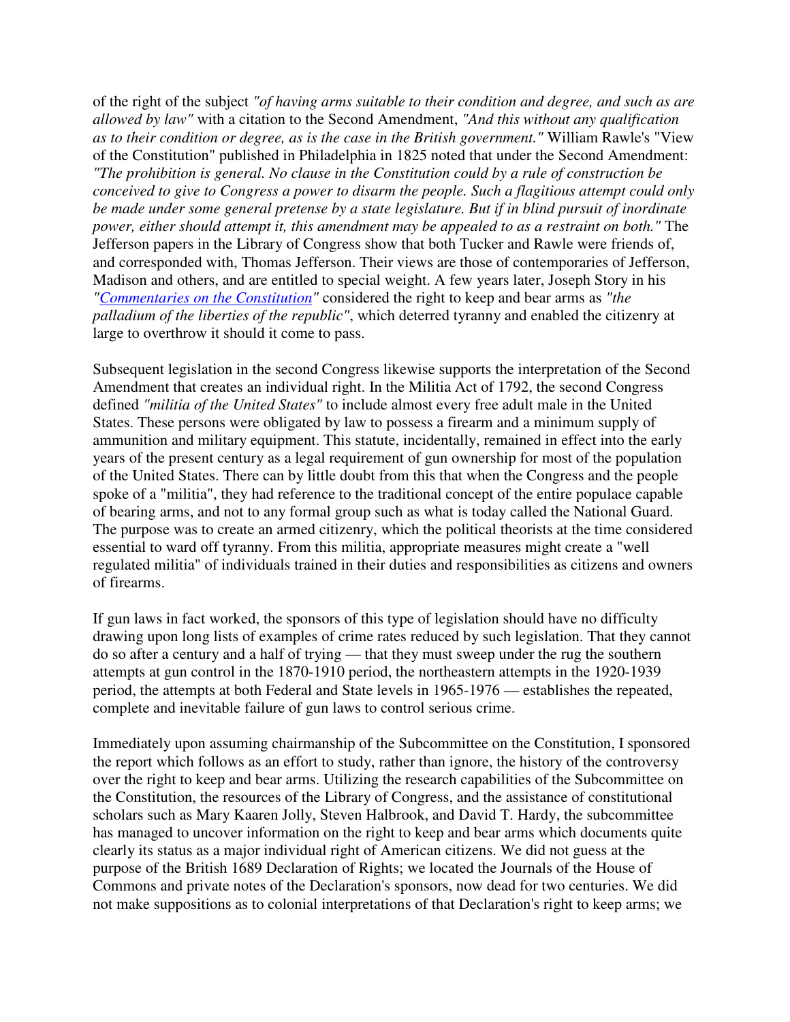of the right of the subject *"of having arms suitable to their condition and degree, and such as are allowed by law"* with a citation to the Second Amendment, *"And this without any qualification as to their condition or degree, as is the case in the British government."* William Rawle's "View of the Constitution" published in Philadelphia in 1825 noted that under the Second Amendment: *"The prohibition is general. No clause in the Constitution could by a rule of construction be conceived to give to Congress a power to disarm the people. Such a flagitious attempt could only be made under some general pretense by a state legislature. But if in blind pursuit of inordinate power, either should attempt it, this amendment may be appealed to as a restraint on both."* The Jefferson papers in the Library of Congress show that both Tucker and Rawle were friends of, and corresponded with, Thomas Jefferson. Their views are those of contemporaries of Jefferson, Madison and others, and are entitled to special weight. A few years later, Joseph Story in his *"Commentaries on the Constitution"* considered the right to keep and bear arms as *"the palladium of the liberties of the republic"*, which deterred tyranny and enabled the citizenry at large to overthrow it should it come to pass.

Subsequent legislation in the second Congress likewise supports the interpretation of the Second Amendment that creates an individual right. In the Militia Act of 1792, the second Congress defined *"militia of the United States"* to include almost every free adult male in the United States. These persons were obligated by law to possess a firearm and a minimum supply of ammunition and military equipment. This statute, incidentally, remained in effect into the early years of the present century as a legal requirement of gun ownership for most of the population of the United States. There can by little doubt from this that when the Congress and the people spoke of a "militia", they had reference to the traditional concept of the entire populace capable of bearing arms, and not to any formal group such as what is today called the National Guard. The purpose was to create an armed citizenry, which the political theorists at the time considered essential to ward off tyranny. From this militia, appropriate measures might create a "well regulated militia" of individuals trained in their duties and responsibilities as citizens and owners of firearms.

If gun laws in fact worked, the sponsors of this type of legislation should have no difficulty drawing upon long lists of examples of crime rates reduced by such legislation. That they cannot do so after a century and a half of trying — that they must sweep under the rug the southern attempts at gun control in the 1870-1910 period, the northeastern attempts in the 1920-1939 period, the attempts at both Federal and State levels in 1965-1976 — establishes the repeated, complete and inevitable failure of gun laws to control serious crime.

Immediately upon assuming chairmanship of the Subcommittee on the Constitution, I sponsored the report which follows as an effort to study, rather than ignore, the history of the controversy over the right to keep and bear arms. Utilizing the research capabilities of the Subcommittee on the Constitution, the resources of the Library of Congress, and the assistance of constitutional scholars such as Mary Kaaren Jolly, Steven Halbrook, and David T. Hardy, the subcommittee has managed to uncover information on the right to keep and bear arms which documents quite clearly its status as a major individual right of American citizens. We did not guess at the purpose of the British 1689 Declaration of Rights; we located the Journals of the House of Commons and private notes of the Declaration's sponsors, now dead for two centuries. We did not make suppositions as to colonial interpretations of that Declaration's right to keep arms; we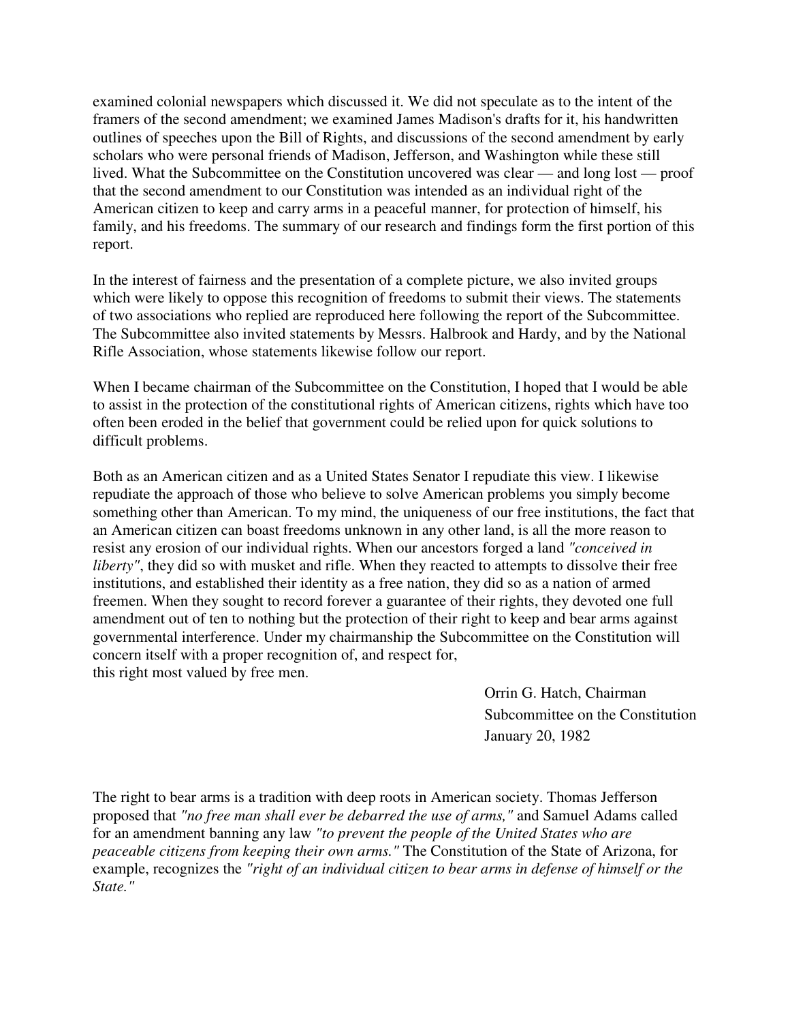examined colonial newspapers which discussed it. We did not speculate as to the intent of the framers of the second amendment; we examined James Madison's drafts for it, his handwritten outlines of speeches upon the Bill of Rights, and discussions of the second amendment by early scholars who were personal friends of Madison, Jefferson, and Washington while these still lived. What the Subcommittee on the Constitution uncovered was clear — and long lost — proof that the second amendment to our Constitution was intended as an individual right of the American citizen to keep and carry arms in a peaceful manner, for protection of himself, his family, and his freedoms. The summary of our research and findings form the first portion of this report.

In the interest of fairness and the presentation of a complete picture, we also invited groups which were likely to oppose this recognition of freedoms to submit their views. The statements of two associations who replied are reproduced here following the report of the Subcommittee. The Subcommittee also invited statements by Messrs. Halbrook and Hardy, and by the National Rifle Association, whose statements likewise follow our report.

When I became chairman of the Subcommittee on the Constitution, I hoped that I would be able to assist in the protection of the constitutional rights of American citizens, rights which have too often been eroded in the belief that government could be relied upon for quick solutions to difficult problems.

Both as an American citizen and as a United States Senator I repudiate this view. I likewise repudiate the approach of those who believe to solve American problems you simply become something other than American. To my mind, the uniqueness of our free institutions, the fact that an American citizen can boast freedoms unknown in any other land, is all the more reason to resist any erosion of our individual rights. When our ancestors forged a land *"conceived in liberty"*, they did so with musket and rifle. When they reacted to attempts to dissolve their free institutions, and established their identity as a free nation, they did so as a nation of armed freemen. When they sought to record forever a guarantee of their rights, they devoted one full amendment out of ten to nothing but the protection of their right to keep and bear arms against governmental interference. Under my chairmanship the Subcommittee on the Constitution will concern itself with a proper recognition of, and respect for, this right most valued by free men.

> Orrin G. Hatch, Chairman Subcommittee on the Constitution January 20, 1982

The right to bear arms is a tradition with deep roots in American society. Thomas Jefferson proposed that *"no free man shall ever be debarred the use of arms,"* and Samuel Adams called for an amendment banning any law *"to prevent the people of the United States who are peaceable citizens from keeping their own arms."* The Constitution of the State of Arizona, for example, recognizes the *"right of an individual citizen to bear arms in defense of himself or the State."*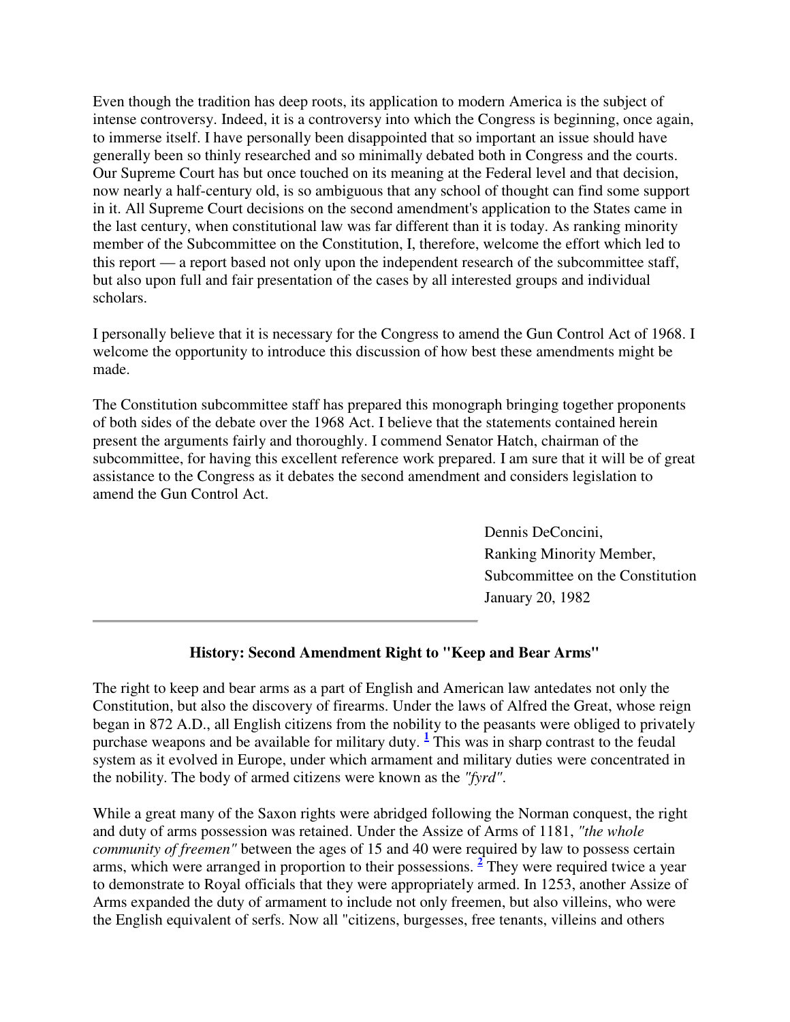Even though the tradition has deep roots, its application to modern America is the subject of intense controversy. Indeed, it is a controversy into which the Congress is beginning, once again, to immerse itself. I have personally been disappointed that so important an issue should have generally been so thinly researched and so minimally debated both in Congress and the courts. Our Supreme Court has but once touched on its meaning at the Federal level and that decision, now nearly a half-century old, is so ambiguous that any school of thought can find some support in it. All Supreme Court decisions on the second amendment's application to the States came in the last century, when constitutional law was far different than it is today. As ranking minority member of the Subcommittee on the Constitution, I, therefore, welcome the effort which led to this report — a report based not only upon the independent research of the subcommittee staff, but also upon full and fair presentation of the cases by all interested groups and individual scholars.

I personally believe that it is necessary for the Congress to amend the Gun Control Act of 1968. I welcome the opportunity to introduce this discussion of how best these amendments might be made.

The Constitution subcommittee staff has prepared this monograph bringing together proponents of both sides of the debate over the 1968 Act. I believe that the statements contained herein present the arguments fairly and thoroughly. I commend Senator Hatch, chairman of the subcommittee, for having this excellent reference work prepared. I am sure that it will be of great assistance to the Congress as it debates the second amendment and considers legislation to amend the Gun Control Act.

> Dennis DeConcini, Ranking Minority Member, Subcommittee on the Constitution January 20, 1982

# **History: Second Amendment Right to "Keep and Bear Arms"**

The right to keep and bear arms as a part of English and American law antedates not only the Constitution, but also the discovery of firearms. Under the laws of Alfred the Great, whose reign began in 872 A.D., all English citizens from the nobility to the peasants were obliged to privately purchase weapons and be available for military duty. <sup>1</sup> This was in sharp contrast to the feudal system as it evolved in Europe, under which armament and military duties were concentrated in the nobility. The body of armed citizens were known as the *"fyrd"*.

While a great many of the Saxon rights were abridged following the Norman conquest, the right and duty of arms possession was retained. Under the Assize of Arms of 1181, *"the whole community of freemen"* between the ages of 15 and 40 were required by law to possess certain arms, which were arranged in proportion to their possessions. **<sup>2</sup>** They were required twice a year to demonstrate to Royal officials that they were appropriately armed. In 1253, another Assize of Arms expanded the duty of armament to include not only freemen, but also villeins, who were the English equivalent of serfs. Now all "citizens, burgesses, free tenants, villeins and others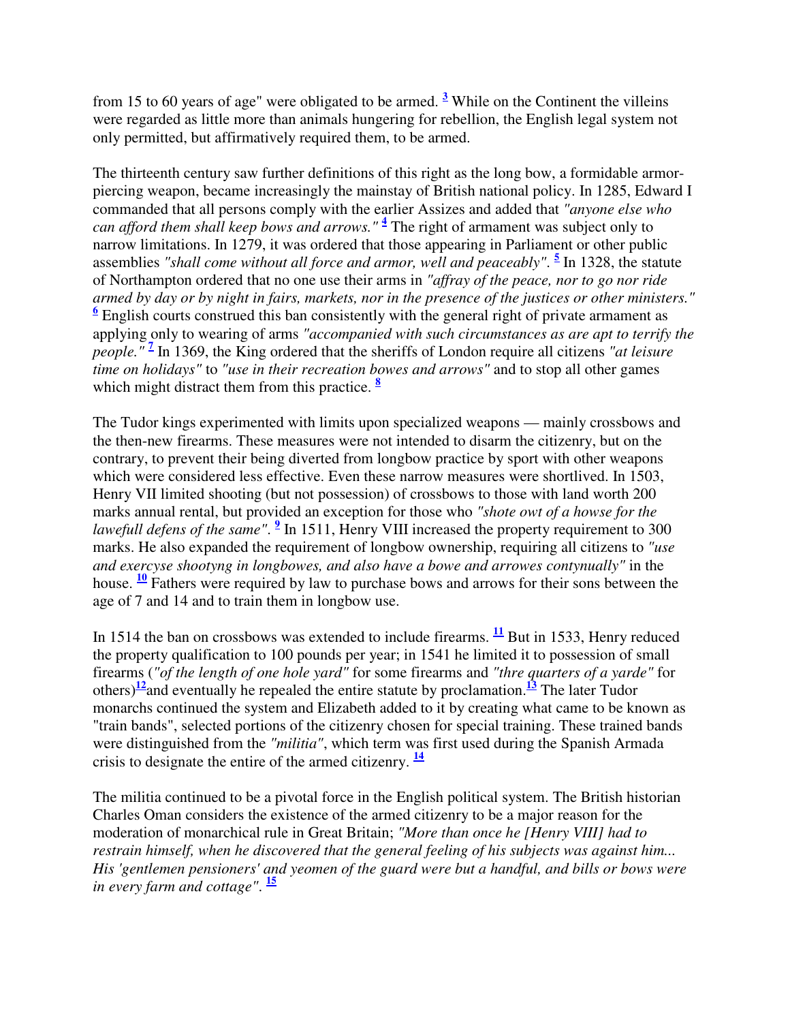from 15 to 60 years of age" were obligated to be armed. **<sup>3</sup>** While on the Continent the villeins were regarded as little more than animals hungering for rebellion, the English legal system not only permitted, but affirmatively required them, to be armed.

The thirteenth century saw further definitions of this right as the long bow, a formidable armorpiercing weapon, became increasingly the mainstay of British national policy. In 1285, Edward I commanded that all persons comply with the earlier Assizes and added that *"anyone else who can afford them shall keep bows and arrows."* **<sup>4</sup>** The right of armament was subject only to narrow limitations. In 1279, it was ordered that those appearing in Parliament or other public assemblies "shall come without all force and armor, well and peaceably". <sup>5</sup> In 1328, the statute of Northampton ordered that no one use their arms in *"affray of the peace, nor to go nor ride armed by day or by night in fairs, markets, nor in the presence of the justices or other ministers."* <sup>6</sup> English courts construed this ban consistently with the general right of private armament as applying only to wearing of arms *"accompanied with such circumstances as are apt to terrify the people."* **<sup>7</sup>** In 1369, the King ordered that the sheriffs of London require all citizens *"at leisure time on holidays"* to *"use in their recreation bowes and arrows"* and to stop all other games which might distract them from this practice.  $\frac{8}{3}$ 

The Tudor kings experimented with limits upon specialized weapons — mainly crossbows and the then-new firearms. These measures were not intended to disarm the citizenry, but on the contrary, to prevent their being diverted from longbow practice by sport with other weapons which were considered less effective. Even these narrow measures were shortlived. In 1503, Henry VII limited shooting (but not possession) of crossbows to those with land worth 200 marks annual rental, but provided an exception for those who *"shote owt of a howse for the*  lawefull defens of the same". <sup>2</sup> In 1511, Henry VIII increased the property requirement to 300 marks. He also expanded the requirement of longbow ownership, requiring all citizens to *"use and exercyse shootyng in longbowes, and also have a bowe and arrowes contynually"* in the house. **<sup>10</sup>** Fathers were required by law to purchase bows and arrows for their sons between the age of 7 and 14 and to train them in longbow use.

In 1514 the ban on crossbows was extended to include firearms.  $\frac{11}{12}$  But in 1533, Henry reduced the property qualification to 100 pounds per year; in 1541 he limited it to possession of small firearms (*"of the length of one hole yard"* for some firearms and *"thre quarters of a yarde"* for others)**<sup>12</sup>**and eventually he repealed the entire statute by proclamation.**<sup>13</sup>** The later Tudor monarchs continued the system and Elizabeth added to it by creating what came to be known as "train bands", selected portions of the citizenry chosen for special training. These trained bands were distinguished from the *"militia"*, which term was first used during the Spanish Armada crisis to designate the entire of the armed citizenry. **14**

The militia continued to be a pivotal force in the English political system. The British historian Charles Oman considers the existence of the armed citizenry to be a major reason for the moderation of monarchical rule in Great Britain; *"More than once he [Henry VIII] had to restrain himself, when he discovered that the general feeling of his subjects was against him... His 'gentlemen pensioners' and yeomen of the guard were but a handful, and bills or bows were in every farm and cottage"*. **15**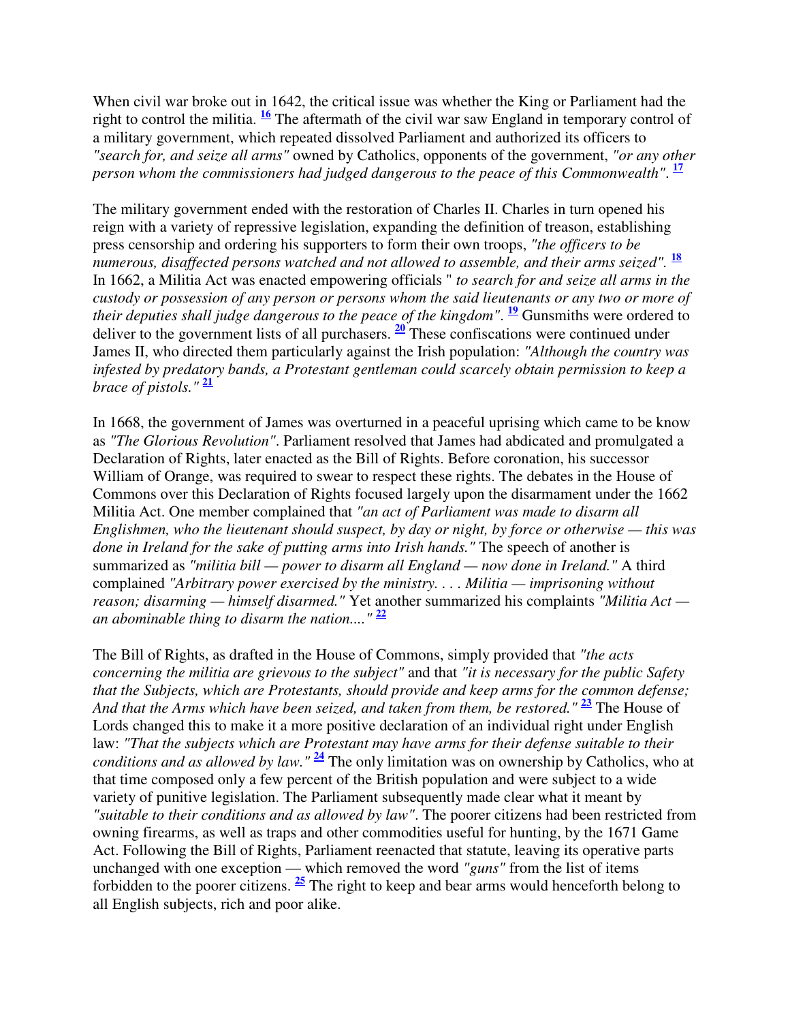When civil war broke out in 1642, the critical issue was whether the King or Parliament had the right to control the militia. <sup>16</sup> The aftermath of the civil war saw England in temporary control of a military government, which repeated dissolved Parliament and authorized its officers to *"search for, and seize all arms"* owned by Catholics, opponents of the government, *"or any other person whom the commissioners had judged dangerous to the peace of this Commonwealth"*. **17**

The military government ended with the restoration of Charles II. Charles in turn opened his reign with a variety of repressive legislation, expanding the definition of treason, establishing press censorship and ordering his supporters to form their own troops, *"the officers to be numerous, disaffected persons watched and not allowed to assemble, and their arms seized".* **<sup>18</sup>** In 1662, a Militia Act was enacted empowering officials " *to search for and seize all arms in the custody or possession of any person or persons whom the said lieutenants or any two or more of their deputies shall judge dangerous to the peace of the kingdom"*. **<sup>19</sup>** Gunsmiths were ordered to deliver to the government lists of all purchasers. **<sup>20</sup>** These confiscations were continued under James II, who directed them particularly against the Irish population: *"Although the country was infested by predatory bands, a Protestant gentleman could scarcely obtain permission to keep a brace of pistols."* **<sup>21</sup>**

In 1668, the government of James was overturned in a peaceful uprising which came to be know as *"The Glorious Revolution"*. Parliament resolved that James had abdicated and promulgated a Declaration of Rights, later enacted as the Bill of Rights. Before coronation, his successor William of Orange, was required to swear to respect these rights. The debates in the House of Commons over this Declaration of Rights focused largely upon the disarmament under the 1662 Militia Act. One member complained that *"an act of Parliament was made to disarm all Englishmen, who the lieutenant should suspect, by day or night, by force or otherwise — this was done in Ireland for the sake of putting arms into Irish hands."* The speech of another is summarized as *"militia bill — power to disarm all England — now done in Ireland."* A third complained *"Arbitrary power exercised by the ministry. . . . Militia — imprisoning without reason; disarming — himself disarmed."* Yet another summarized his complaints *"Militia Act an abominable thing to disarm the nation...."* **<sup>22</sup>**

The Bill of Rights, as drafted in the House of Commons, simply provided that *"the acts concerning the militia are grievous to the subject"* and that *"it is necessary for the public Safety that the Subjects, which are Protestants, should provide and keep arms for the common defense; And that the Arms which have been seized, and taken from them, be restored."* **<sup>23</sup>** The House of Lords changed this to make it a more positive declaration of an individual right under English law: *"That the subjects which are Protestant may have arms for their defense suitable to their conditions and as allowed by law."* **<sup>24</sup>** The only limitation was on ownership by Catholics, who at that time composed only a few percent of the British population and were subject to a wide variety of punitive legislation. The Parliament subsequently made clear what it meant by *"suitable to their conditions and as allowed by law"*. The poorer citizens had been restricted from owning firearms, as well as traps and other commodities useful for hunting, by the 1671 Game Act. Following the Bill of Rights, Parliament reenacted that statute, leaving its operative parts unchanged with one exception — which removed the word *"guns"* from the list of items forbidden to the poorer citizens. **<sup>25</sup>** The right to keep and bear arms would henceforth belong to all English subjects, rich and poor alike.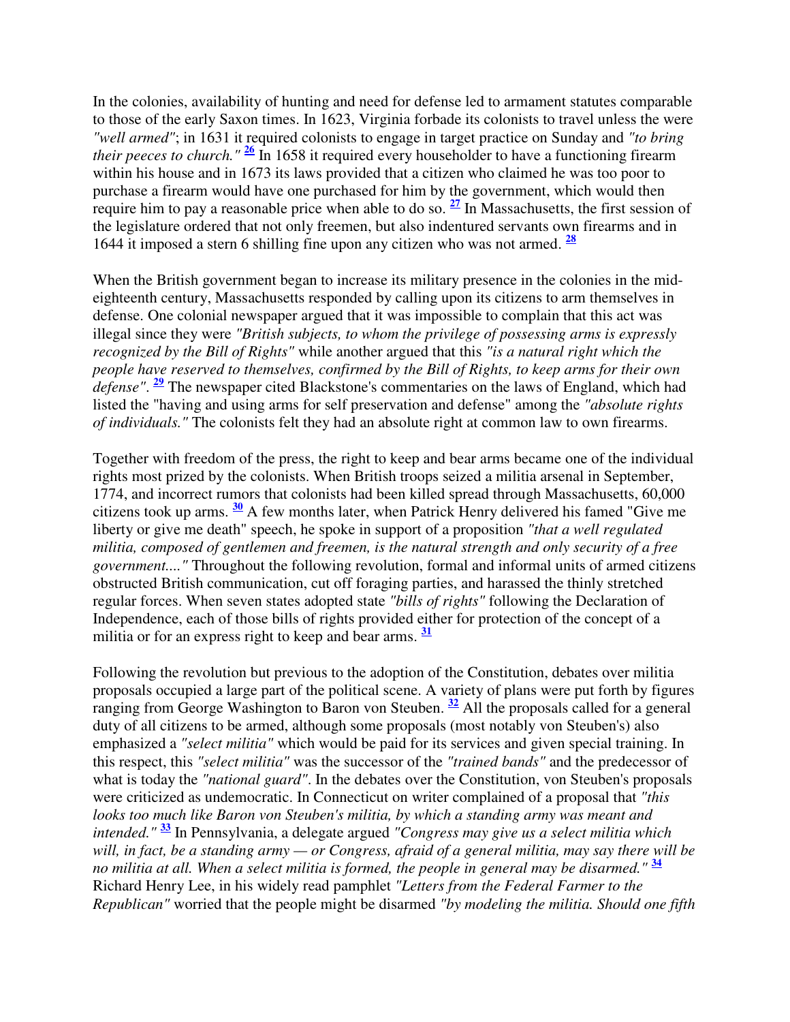In the colonies, availability of hunting and need for defense led to armament statutes comparable to those of the early Saxon times. In 1623, Virginia forbade its colonists to travel unless the were *"well armed"*; in 1631 it required colonists to engage in target practice on Sunday and *"to bring their peeces to church.*"  $\frac{26}{2}$  In 1658 it required every householder to have a functioning firearm within his house and in 1673 its laws provided that a citizen who claimed he was too poor to purchase a firearm would have one purchased for him by the government, which would then require him to pay a reasonable price when able to do so.  $\frac{27}{1}$  In Massachusetts, the first session of the legislature ordered that not only freemen, but also indentured servants own firearms and in 1644 it imposed a stern 6 shilling fine upon any citizen who was not armed. **<sup>28</sup>**

When the British government began to increase its military presence in the colonies in the mideighteenth century, Massachusetts responded by calling upon its citizens to arm themselves in defense. One colonial newspaper argued that it was impossible to complain that this act was illegal since they were *"British subjects, to whom the privilege of possessing arms is expressly recognized by the Bill of Rights"* while another argued that this *"is a natural right which the people have reserved to themselves, confirmed by the Bill of Rights, to keep arms for their own defense"*. **<sup>29</sup>** The newspaper cited Blackstone's commentaries on the laws of England, which had listed the "having and using arms for self preservation and defense" among the *"absolute rights of individuals."* The colonists felt they had an absolute right at common law to own firearms.

Together with freedom of the press, the right to keep and bear arms became one of the individual rights most prized by the colonists. When British troops seized a militia arsenal in September, 1774, and incorrect rumors that colonists had been killed spread through Massachusetts, 60,000 citizens took up arms. **<sup>30</sup>** A few months later, when Patrick Henry delivered his famed "Give me liberty or give me death" speech, he spoke in support of a proposition *"that a well regulated militia, composed of gentlemen and freemen, is the natural strength and only security of a free government...."* Throughout the following revolution, formal and informal units of armed citizens obstructed British communication, cut off foraging parties, and harassed the thinly stretched regular forces. When seven states adopted state *"bills of rights"* following the Declaration of Independence, each of those bills of rights provided either for protection of the concept of a militia or for an express right to keep and bear arms. **<sup>31</sup>**

Following the revolution but previous to the adoption of the Constitution, debates over militia proposals occupied a large part of the political scene. A variety of plans were put forth by figures ranging from George Washington to Baron von Steuben. **<sup>32</sup>** All the proposals called for a general duty of all citizens to be armed, although some proposals (most notably von Steuben's) also emphasized a *"select militia"* which would be paid for its services and given special training. In this respect, this *"select militia"* was the successor of the *"trained bands"* and the predecessor of what is today the *"national guard"*. In the debates over the Constitution, von Steuben's proposals were criticized as undemocratic. In Connecticut on writer complained of a proposal that *"this looks too much like Baron von Steuben's militia, by which a standing army was meant and intended."* **<sup>33</sup>** In Pennsylvania, a delegate argued *"Congress may give us a select militia which will, in fact, be a standing army — or Congress, afraid of a general militia, may say there will be no militia at all. When a select militia is formed, the people in general may be disarmed."* **<sup>34</sup>** Richard Henry Lee, in his widely read pamphlet *"Letters from the Federal Farmer to the Republican"* worried that the people might be disarmed *"by modeling the militia. Should one fifth*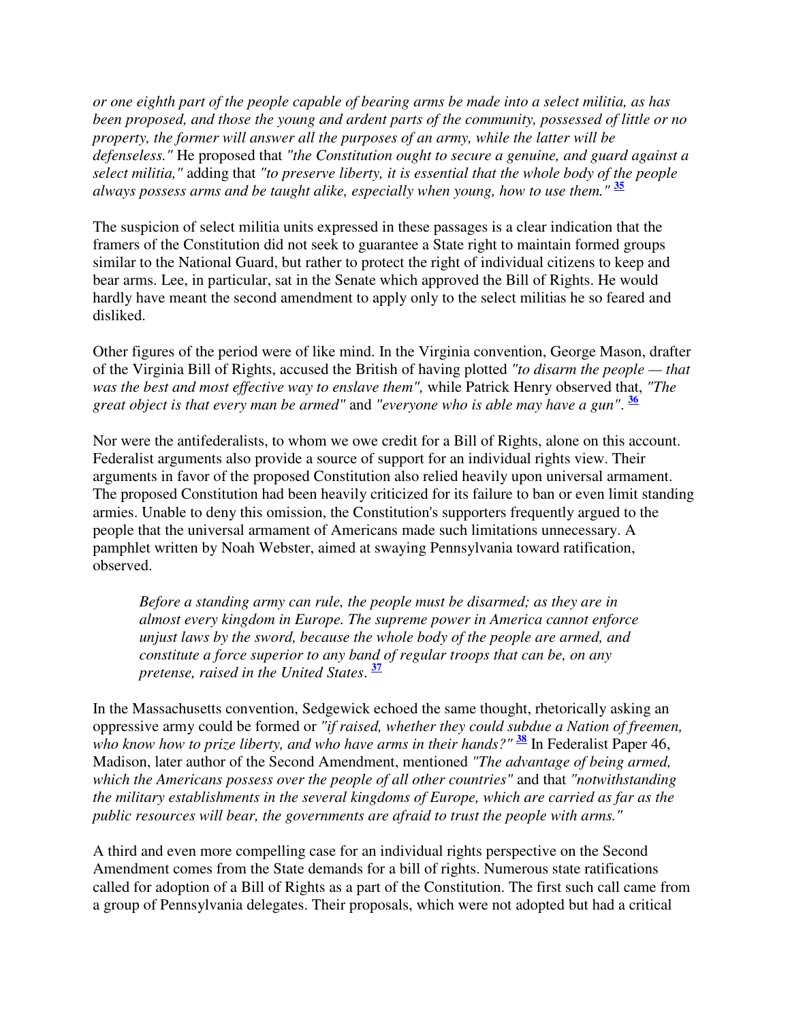*or one eighth part of the people capable of bearing arms be made into a select militia, as has been proposed, and those the young and ardent parts of the community, possessed of little or no property, the former will answer all the purposes of an army, while the latter will be defenseless."* He proposed that *"the Constitution ought to secure a genuine, and guard against a select militia,"* adding that *"to preserve liberty, it is essential that the whole body of the people always possess arms and be taught alike, especially when young, how to use them."* **<sup>35</sup>**

The suspicion of select militia units expressed in these passages is a clear indication that the framers of the Constitution did not seek to guarantee a State right to maintain formed groups similar to the National Guard, but rather to protect the right of individual citizens to keep and bear arms. Lee, in particular, sat in the Senate which approved the Bill of Rights. He would hardly have meant the second amendment to apply only to the select militias he so feared and disliked.

Other figures of the period were of like mind. In the Virginia convention, George Mason, drafter of the Virginia Bill of Rights, accused the British of having plotted *"to disarm the people — that was the best and most effective way to enslave them",* while Patrick Henry observed that, *"The great object is that every man be armed"* and *"everyone who is able may have a gun"*. **36**

Nor were the antifederalists, to whom we owe credit for a Bill of Rights, alone on this account. Federalist arguments also provide a source of support for an individual rights view. Their arguments in favor of the proposed Constitution also relied heavily upon universal armament. The proposed Constitution had been heavily criticized for its failure to ban or even limit standing armies. Unable to deny this omission, the Constitution's supporters frequently argued to the people that the universal armament of Americans made such limitations unnecessary. A pamphlet written by Noah Webster, aimed at swaying Pennsylvania toward ratification, observed.

*Before a standing army can rule, the people must be disarmed; as they are in almost every kingdom in Europe. The supreme power in America cannot enforce unjust laws by the sword, because the whole body of the people are armed, and constitute a force superior to any band of regular troops that can be, on any pretense, raised in the United States*. **37**

In the Massachusetts convention, Sedgewick echoed the same thought, rhetorically asking an oppressive army could be formed or *"if raised, whether they could subdue a Nation of freemen, who know how to prize liberty, and who have arms in their hands?"* **<sup>38</sup>** In Federalist Paper 46, Madison, later author of the Second Amendment, mentioned *"The advantage of being armed, which the Americans possess over the people of all other countries"* and that *"notwithstanding the military establishments in the several kingdoms of Europe, which are carried as far as the public resources will bear, the governments are afraid to trust the people with arms."*

A third and even more compelling case for an individual rights perspective on the Second Amendment comes from the State demands for a bill of rights. Numerous state ratifications called for adoption of a Bill of Rights as a part of the Constitution. The first such call came from a group of Pennsylvania delegates. Their proposals, which were not adopted but had a critical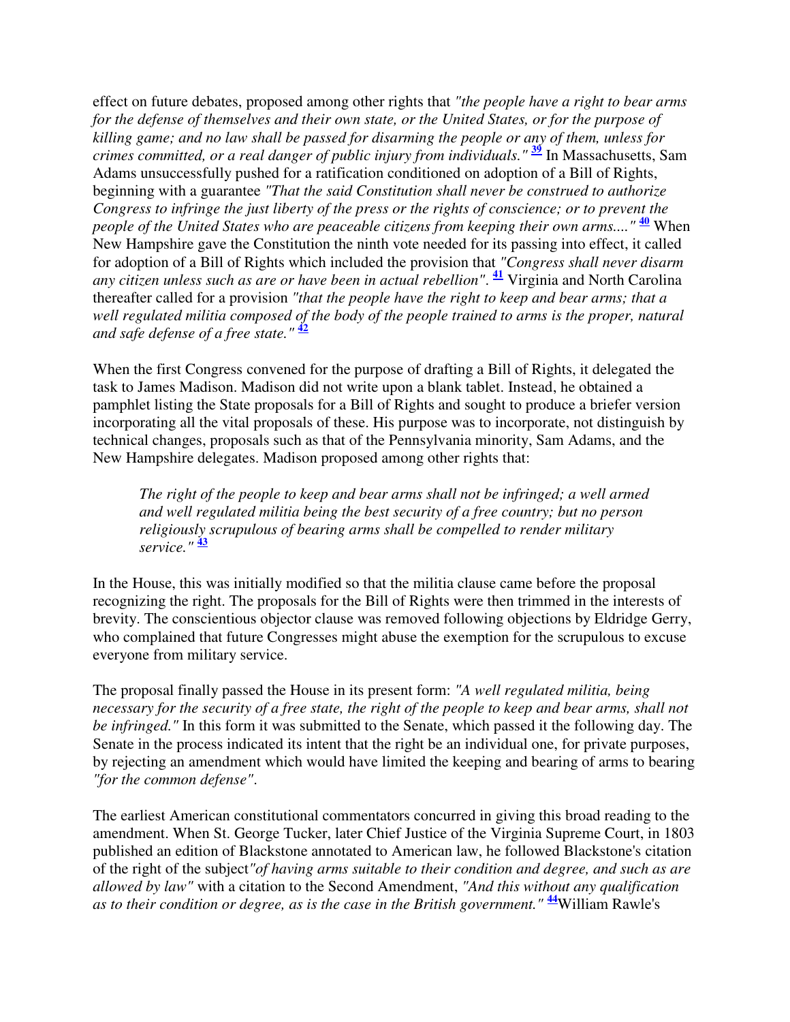effect on future debates, proposed among other rights that *"the people have a right to bear arms for the defense of themselves and their own state, or the United States, or for the purpose of killing game; and no law shall be passed for disarming the people or any of them, unless for crimes committed, or a real danger of public injury from individuals."* **<sup>39</sup>** In Massachusetts, Sam Adams unsuccessfully pushed for a ratification conditioned on adoption of a Bill of Rights, beginning with a guarantee *"That the said Constitution shall never be construed to authorize Congress to infringe the just liberty of the press or the rights of conscience; or to prevent the people of the United States who are peaceable citizens from keeping their own arms...."* **<sup>40</sup>** When New Hampshire gave the Constitution the ninth vote needed for its passing into effect, it called for adoption of a Bill of Rights which included the provision that *"Congress shall never disarm any citizen unless such as are or have been in actual rebellion"*. **<sup>41</sup>** Virginia and North Carolina thereafter called for a provision *"that the people have the right to keep and bear arms; that a well regulated militia composed of the body of the people trained to arms is the proper, natural and safe defense of a free state."* **<sup>42</sup>**

When the first Congress convened for the purpose of drafting a Bill of Rights, it delegated the task to James Madison. Madison did not write upon a blank tablet. Instead, he obtained a pamphlet listing the State proposals for a Bill of Rights and sought to produce a briefer version incorporating all the vital proposals of these. His purpose was to incorporate, not distinguish by technical changes, proposals such as that of the Pennsylvania minority, Sam Adams, and the New Hampshire delegates. Madison proposed among other rights that:

*The right of the people to keep and bear arms shall not be infringed; a well armed and well regulated militia being the best security of a free country; but no person religiously scrupulous of bearing arms shall be compelled to render military service."* **<sup>43</sup>**

In the House, this was initially modified so that the militia clause came before the proposal recognizing the right. The proposals for the Bill of Rights were then trimmed in the interests of brevity. The conscientious objector clause was removed following objections by Eldridge Gerry, who complained that future Congresses might abuse the exemption for the scrupulous to excuse everyone from military service.

The proposal finally passed the House in its present form: *"A well regulated militia, being necessary for the security of a free state, the right of the people to keep and bear arms, shall not be infringed."* In this form it was submitted to the Senate, which passed it the following day. The Senate in the process indicated its intent that the right be an individual one, for private purposes, by rejecting an amendment which would have limited the keeping and bearing of arms to bearing *"for the common defense"*.

The earliest American constitutional commentators concurred in giving this broad reading to the amendment. When St. George Tucker, later Chief Justice of the Virginia Supreme Court, in 1803 published an edition of Blackstone annotated to American law, he followed Blackstone's citation of the right of the subject*"of having arms suitable to their condition and degree, and such as are allowed by law"* with a citation to the Second Amendment, *"And this without any qualification as to their condition or degree, as is the case in the British government."* **<sup>44</sup>**William Rawle's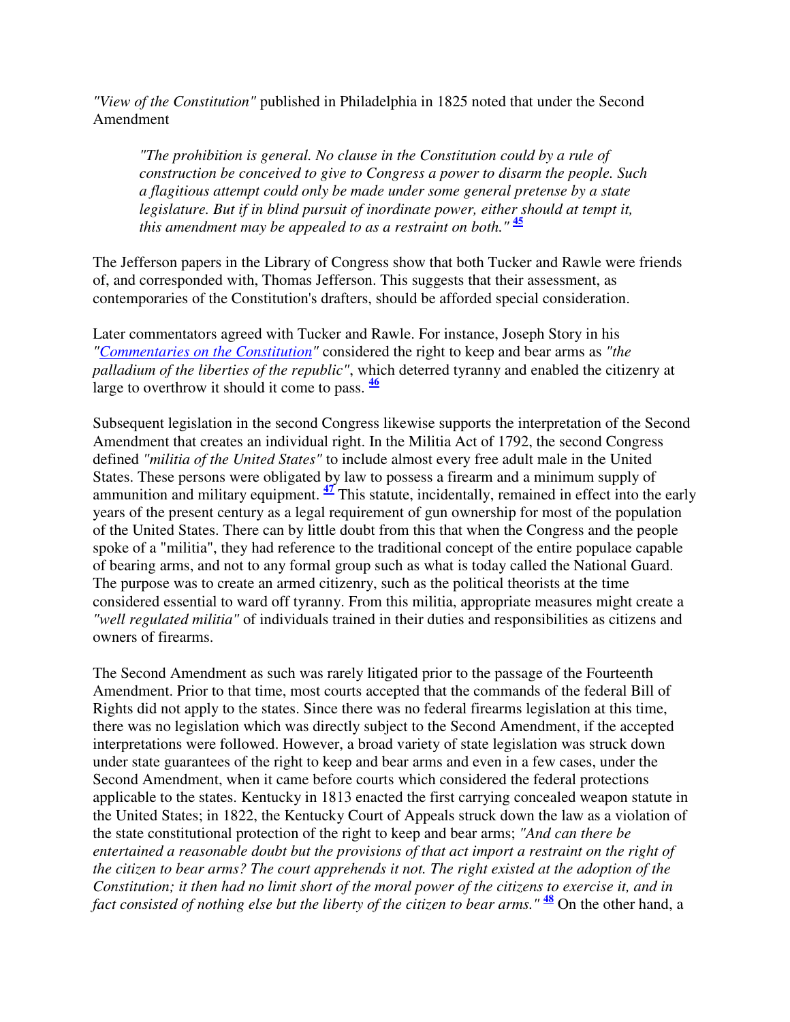*"View of the Constitution"* published in Philadelphia in 1825 noted that under the Second Amendment

*"The prohibition is general. No clause in the Constitution could by a rule of construction be conceived to give to Congress a power to disarm the people. Such a flagitious attempt could only be made under some general pretense by a state legislature. But if in blind pursuit of inordinate power, either should at tempt it, this amendment may be appealed to as a restraint on both."* **<sup>45</sup>**

The Jefferson papers in the Library of Congress show that both Tucker and Rawle were friends of, and corresponded with, Thomas Jefferson. This suggests that their assessment, as contemporaries of the Constitution's drafters, should be afforded special consideration.

Later commentators agreed with Tucker and Rawle. For instance, Joseph Story in his *"Commentaries on the Constitution"* considered the right to keep and bear arms as *"the palladium of the liberties of the republic"*, which deterred tyranny and enabled the citizenry at large to overthrow it should it come to pass.  $\frac{46}{1}$ 

Subsequent legislation in the second Congress likewise supports the interpretation of the Second Amendment that creates an individual right. In the Militia Act of 1792, the second Congress defined *"militia of the United States"* to include almost every free adult male in the United States. These persons were obligated by law to possess a firearm and a minimum supply of ammunition and military equipment. **<sup>47</sup>** This statute, incidentally, remained in effect into the early years of the present century as a legal requirement of gun ownership for most of the population of the United States. There can by little doubt from this that when the Congress and the people spoke of a "militia", they had reference to the traditional concept of the entire populace capable of bearing arms, and not to any formal group such as what is today called the National Guard. The purpose was to create an armed citizenry, such as the political theorists at the time considered essential to ward off tyranny. From this militia, appropriate measures might create a *"well regulated militia"* of individuals trained in their duties and responsibilities as citizens and owners of firearms.

The Second Amendment as such was rarely litigated prior to the passage of the Fourteenth Amendment. Prior to that time, most courts accepted that the commands of the federal Bill of Rights did not apply to the states. Since there was no federal firearms legislation at this time, there was no legislation which was directly subject to the Second Amendment, if the accepted interpretations were followed. However, a broad variety of state legislation was struck down under state guarantees of the right to keep and bear arms and even in a few cases, under the Second Amendment, when it came before courts which considered the federal protections applicable to the states. Kentucky in 1813 enacted the first carrying concealed weapon statute in the United States; in 1822, the Kentucky Court of Appeals struck down the law as a violation of the state constitutional protection of the right to keep and bear arms; *"And can there be entertained a reasonable doubt but the provisions of that act import a restraint on the right of the citizen to bear arms? The court apprehends it not. The right existed at the adoption of the Constitution; it then had no limit short of the moral power of the citizens to exercise it, and in fact consisted of nothing else but the liberty of the citizen to bear arms."* **<sup>48</sup>** On the other hand, a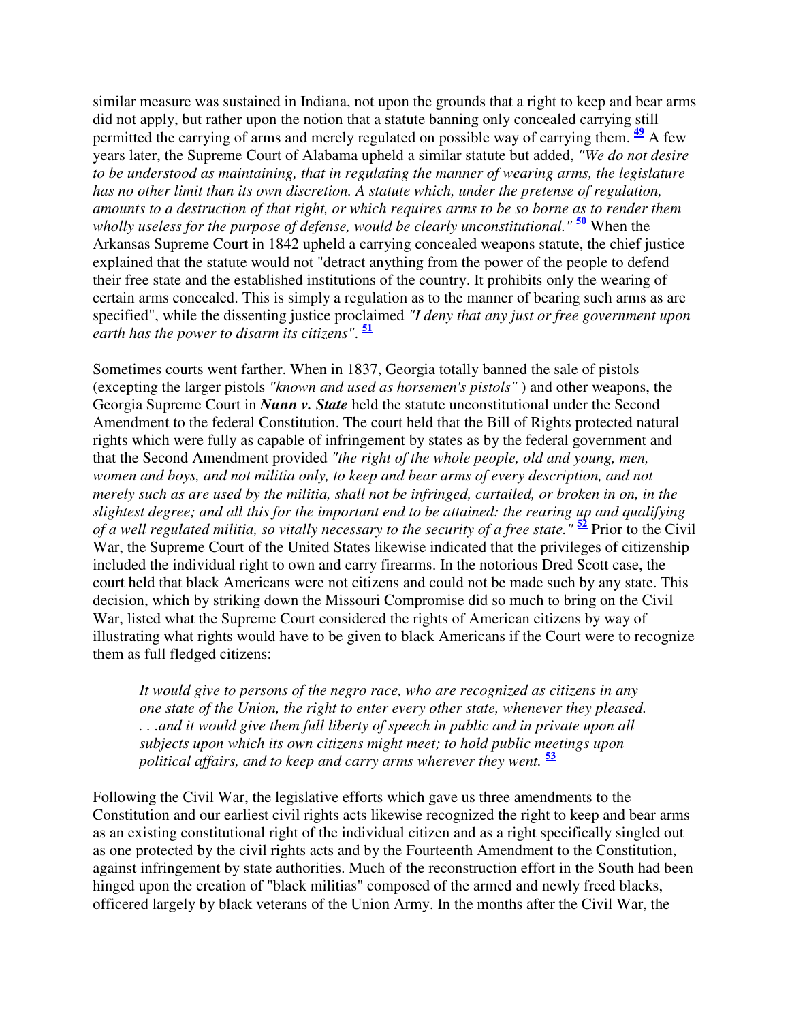similar measure was sustained in Indiana, not upon the grounds that a right to keep and bear arms did not apply, but rather upon the notion that a statute banning only concealed carrying still permitted the carrying of arms and merely regulated on possible way of carrying them.  $\frac{49}{12}$  A few years later, the Supreme Court of Alabama upheld a similar statute but added, *"We do not desire to be understood as maintaining, that in regulating the manner of wearing arms, the legislature has no other limit than its own discretion. A statute which, under the pretense of regulation, amounts to a destruction of that right, or which requires arms to be so borne as to render them wholly useless for the purpose of defense, would be clearly unconstitutional."* **<sup>50</sup>** When the Arkansas Supreme Court in 1842 upheld a carrying concealed weapons statute, the chief justice explained that the statute would not "detract anything from the power of the people to defend their free state and the established institutions of the country. It prohibits only the wearing of certain arms concealed. This is simply a regulation as to the manner of bearing such arms as are specified", while the dissenting justice proclaimed *"I deny that any just or free government upon earth has the power to disarm its citizens"*. **51**

Sometimes courts went farther. When in 1837, Georgia totally banned the sale of pistols (excepting the larger pistols *"known and used as horsemen's pistols"* ) and other weapons, the Georgia Supreme Court in *Nunn v. State* held the statute unconstitutional under the Second Amendment to the federal Constitution. The court held that the Bill of Rights protected natural rights which were fully as capable of infringement by states as by the federal government and that the Second Amendment provided *"the right of the whole people, old and young, men, women and boys, and not militia only, to keep and bear arms of every description, and not merely such as are used by the militia, shall not be infringed, curtailed, or broken in on, in the slightest degree; and all this for the important end to be attained: the rearing up and qualifying of a well regulated militia, so vitally necessary to the security of a free state."* **<sup>52</sup>** Prior to the Civil War, the Supreme Court of the United States likewise indicated that the privileges of citizenship included the individual right to own and carry firearms. In the notorious Dred Scott case, the court held that black Americans were not citizens and could not be made such by any state. This decision, which by striking down the Missouri Compromise did so much to bring on the Civil War, listed what the Supreme Court considered the rights of American citizens by way of illustrating what rights would have to be given to black Americans if the Court were to recognize them as full fledged citizens:

*It would give to persons of the negro race, who are recognized as citizens in any one state of the Union, the right to enter every other state, whenever they pleased. . . .and it would give them full liberty of speech in public and in private upon all subjects upon which its own citizens might meet; to hold public meetings upon political affairs, and to keep and carry arms wherever they went.* **<sup>53</sup>**

Following the Civil War, the legislative efforts which gave us three amendments to the Constitution and our earliest civil rights acts likewise recognized the right to keep and bear arms as an existing constitutional right of the individual citizen and as a right specifically singled out as one protected by the civil rights acts and by the Fourteenth Amendment to the Constitution, against infringement by state authorities. Much of the reconstruction effort in the South had been hinged upon the creation of "black militias" composed of the armed and newly freed blacks, officered largely by black veterans of the Union Army. In the months after the Civil War, the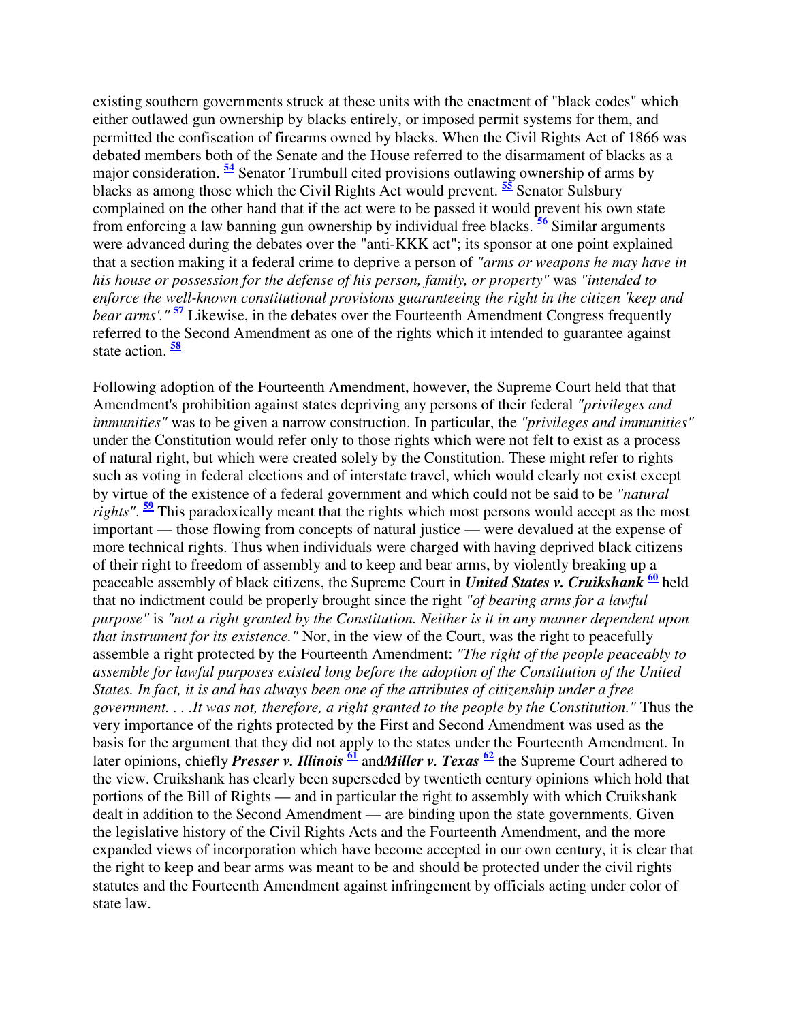existing southern governments struck at these units with the enactment of "black codes" which either outlawed gun ownership by blacks entirely, or imposed permit systems for them, and permitted the confiscation of firearms owned by blacks. When the Civil Rights Act of 1866 was debated members both of the Senate and the House referred to the disarmament of blacks as a major consideration. **<sup>54</sup>** Senator Trumbull cited provisions outlawing ownership of arms by blacks as among those which the Civil Rights Act would prevent. **<sup>55</sup>** Senator Sulsbury complained on the other hand that if the act were to be passed it would prevent his own state from enforcing a law banning gun ownership by individual free blacks. **<sup>56</sup>** Similar arguments were advanced during the debates over the "anti-KKK act"; its sponsor at one point explained that a section making it a federal crime to deprive a person of *"arms or weapons he may have in his house or possession for the defense of his person, family, or property"* was *"intended to enforce the well-known constitutional provisions guaranteeing the right in the citizen 'keep and bear arms'."* **<sup>57</sup>** Likewise, in the debates over the Fourteenth Amendment Congress frequently referred to the Second Amendment as one of the rights which it intended to guarantee against state action. **<sup>58</sup>**

Following adoption of the Fourteenth Amendment, however, the Supreme Court held that that Amendment's prohibition against states depriving any persons of their federal *"privileges and immunities"* was to be given a narrow construction. In particular, the *"privileges and immunities"*  under the Constitution would refer only to those rights which were not felt to exist as a process of natural right, but which were created solely by the Constitution. These might refer to rights such as voting in federal elections and of interstate travel, which would clearly not exist except by virtue of the existence of a federal government and which could not be said to be *"natural rights"*. **<sup>59</sup>** This paradoxically meant that the rights which most persons would accept as the most important — those flowing from concepts of natural justice — were devalued at the expense of more technical rights. Thus when individuals were charged with having deprived black citizens of their right to freedom of assembly and to keep and bear arms, by violently breaking up a peaceable assembly of black citizens, the Supreme Court in *United States v. Cruikshank* **<sup>60</sup>** held that no indictment could be properly brought since the right *"of bearing arms for a lawful purpose"* is *"not a right granted by the Constitution. Neither is it in any manner dependent upon that instrument for its existence."* Nor, in the view of the Court, was the right to peacefully assemble a right protected by the Fourteenth Amendment: *"The right of the people peaceably to assemble for lawful purposes existed long before the adoption of the Constitution of the United States. In fact, it is and has always been one of the attributes of citizenship under a free government. . . .It was not, therefore, a right granted to the people by the Constitution."* Thus the very importance of the rights protected by the First and Second Amendment was used as the basis for the argument that they did not apply to the states under the Fourteenth Amendment. In later opinions, chiefly *Presser v. Illinois*  $\frac{61}{2}$  and *Miller v. Texas*  $\frac{62}{2}$  the Supreme Court adhered to the view. Cruikshank has clearly been superseded by twentieth century opinions which hold that portions of the Bill of Rights — and in particular the right to assembly with which Cruikshank dealt in addition to the Second Amendment — are binding upon the state governments. Given the legislative history of the Civil Rights Acts and the Fourteenth Amendment, and the more expanded views of incorporation which have become accepted in our own century, it is clear that the right to keep and bear arms was meant to be and should be protected under the civil rights statutes and the Fourteenth Amendment against infringement by officials acting under color of state law.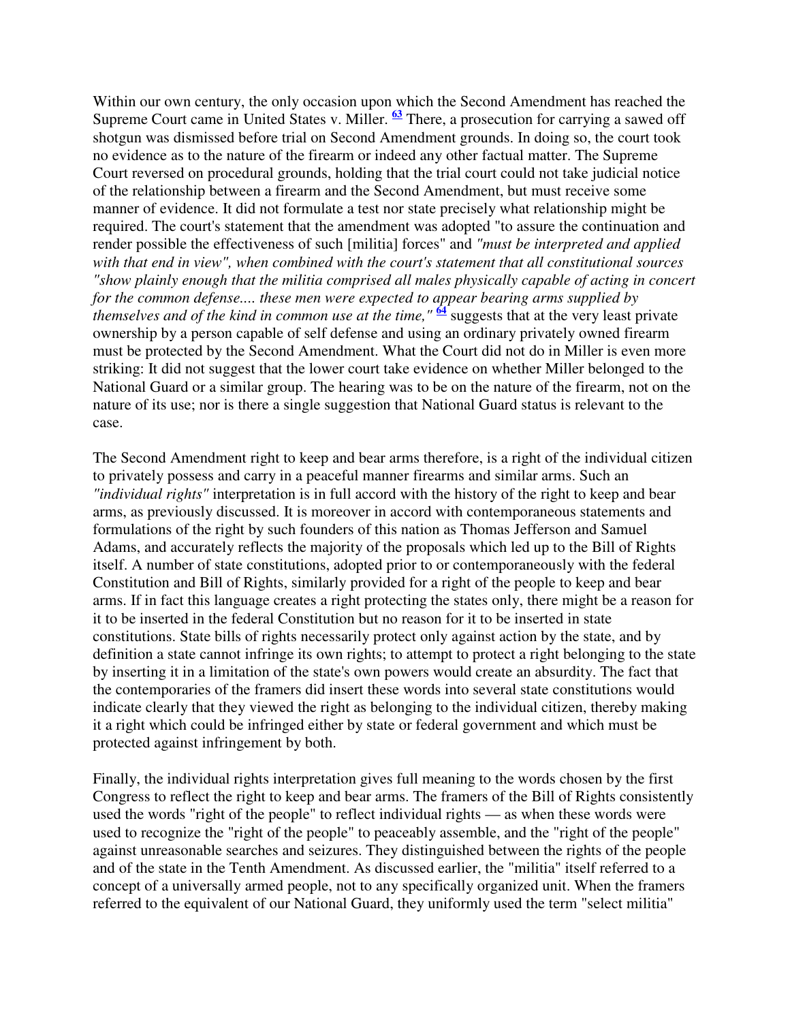Within our own century, the only occasion upon which the Second Amendment has reached the Supreme Court came in United States v. Miller. **63** There, a prosecution for carrying a sawed off shotgun was dismissed before trial on Second Amendment grounds. In doing so, the court took no evidence as to the nature of the firearm or indeed any other factual matter. The Supreme Court reversed on procedural grounds, holding that the trial court could not take judicial notice of the relationship between a firearm and the Second Amendment, but must receive some manner of evidence. It did not formulate a test nor state precisely what relationship might be required. The court's statement that the amendment was adopted "to assure the continuation and render possible the effectiveness of such [militia] forces" and *"must be interpreted and applied with that end in view", when combined with the court's statement that all constitutional sources "show plainly enough that the militia comprised all males physically capable of acting in concert for the common defense.... these men were expected to appear bearing arms supplied by themselves and of the kind in common use at the time,"*  $\frac{64}{3}$  suggests that at the very least private ownership by a person capable of self defense and using an ordinary privately owned firearm must be protected by the Second Amendment. What the Court did not do in Miller is even more striking: It did not suggest that the lower court take evidence on whether Miller belonged to the National Guard or a similar group. The hearing was to be on the nature of the firearm, not on the nature of its use; nor is there a single suggestion that National Guard status is relevant to the case.

The Second Amendment right to keep and bear arms therefore, is a right of the individual citizen to privately possess and carry in a peaceful manner firearms and similar arms. Such an *"individual rights"* interpretation is in full accord with the history of the right to keep and bear arms, as previously discussed. It is moreover in accord with contemporaneous statements and formulations of the right by such founders of this nation as Thomas Jefferson and Samuel Adams, and accurately reflects the majority of the proposals which led up to the Bill of Rights itself. A number of state constitutions, adopted prior to or contemporaneously with the federal Constitution and Bill of Rights, similarly provided for a right of the people to keep and bear arms. If in fact this language creates a right protecting the states only, there might be a reason for it to be inserted in the federal Constitution but no reason for it to be inserted in state constitutions. State bills of rights necessarily protect only against action by the state, and by definition a state cannot infringe its own rights; to attempt to protect a right belonging to the state by inserting it in a limitation of the state's own powers would create an absurdity. The fact that the contemporaries of the framers did insert these words into several state constitutions would indicate clearly that they viewed the right as belonging to the individual citizen, thereby making it a right which could be infringed either by state or federal government and which must be protected against infringement by both.

Finally, the individual rights interpretation gives full meaning to the words chosen by the first Congress to reflect the right to keep and bear arms. The framers of the Bill of Rights consistently used the words "right of the people" to reflect individual rights — as when these words were used to recognize the "right of the people" to peaceably assemble, and the "right of the people" against unreasonable searches and seizures. They distinguished between the rights of the people and of the state in the Tenth Amendment. As discussed earlier, the "militia" itself referred to a concept of a universally armed people, not to any specifically organized unit. When the framers referred to the equivalent of our National Guard, they uniformly used the term "select militia"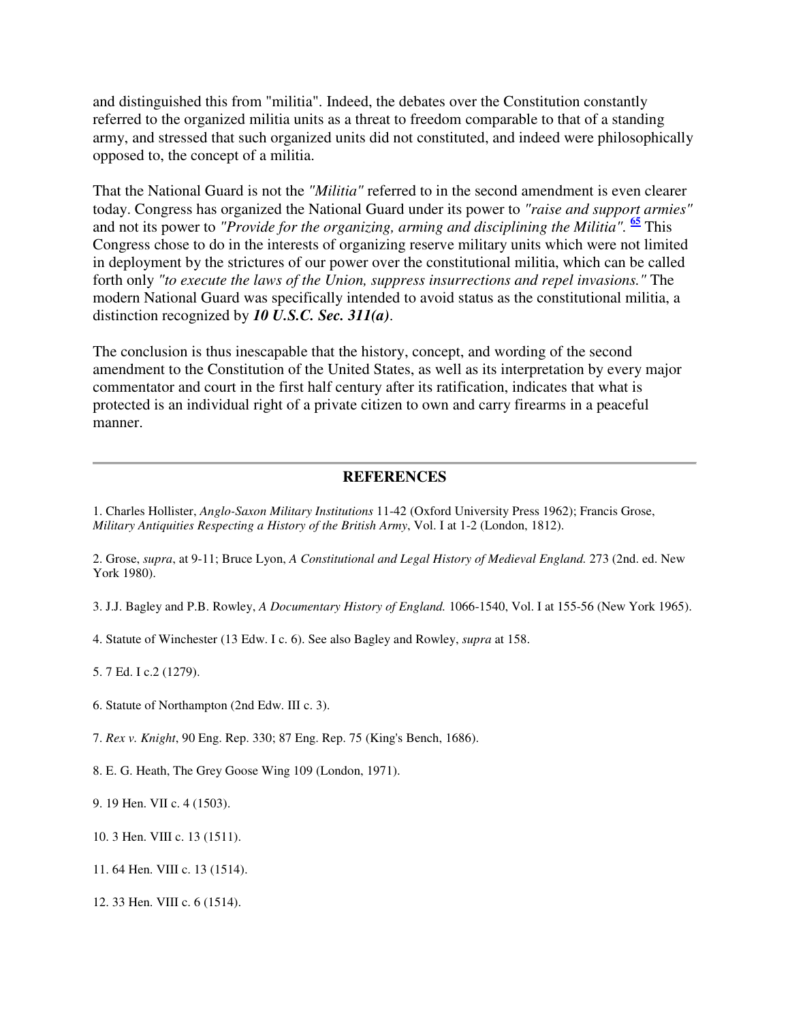and distinguished this from "militia". Indeed, the debates over the Constitution constantly referred to the organized militia units as a threat to freedom comparable to that of a standing army, and stressed that such organized units did not constituted, and indeed were philosophically opposed to, the concept of a militia.

That the National Guard is not the *"Militia"* referred to in the second amendment is even clearer today. Congress has organized the National Guard under its power to *"raise and support armies"* and not its power to *"Provide for the organizing, arming and disciplining the Militia".* **<sup>65</sup>** This Congress chose to do in the interests of organizing reserve military units which were not limited in deployment by the strictures of our power over the constitutional militia, which can be called forth only *"to execute the laws of the Union, suppress insurrections and repel invasions."* The modern National Guard was specifically intended to avoid status as the constitutional militia, a distinction recognized by *10 U.S.C. Sec. 311(a)*.

The conclusion is thus inescapable that the history, concept, and wording of the second amendment to the Constitution of the United States, as well as its interpretation by every major commentator and court in the first half century after its ratification, indicates that what is protected is an individual right of a private citizen to own and carry firearms in a peaceful manner.

#### **REFERENCES**

1. Charles Hollister, *Anglo-Saxon Military Institutions* 11-42 (Oxford University Press 1962); Francis Grose, *Military Antiquities Respecting a History of the British Army*, Vol. I at 1-2 (London, 1812).

2. Grose, *supra*, at 9-11; Bruce Lyon, *A Constitutional and Legal History of Medieval England.* 273 (2nd. ed. New York 1980).

3. J.J. Bagley and P.B. Rowley, *A Documentary History of England.* 1066-1540, Vol. I at 155-56 (New York 1965).

4. Statute of Winchester (13 Edw. I c. 6). See also Bagley and Rowley, *supra* at 158.

5. 7 Ed. I c.2 (1279).

6. Statute of Northampton (2nd Edw. III c. 3).

7. *Rex v. Knight*, 90 Eng. Rep. 330; 87 Eng. Rep. 75 (King's Bench, 1686).

- 8. E. G. Heath, The Grey Goose Wing 109 (London, 1971).
- 9. 19 Hen. VII c. 4 (1503).
- 10. 3 Hen. VIII c. 13 (1511).
- 11. 64 Hen. VIII c. 13 (1514).
- 12. 33 Hen. VIII c. 6 (1514).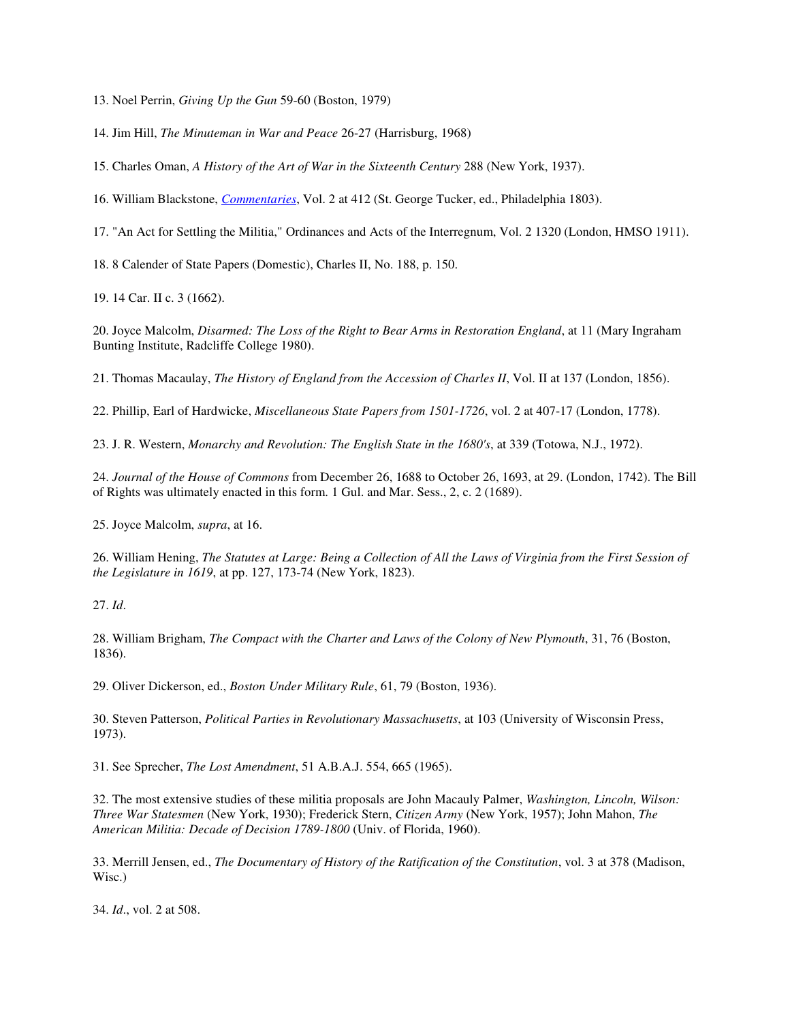13. Noel Perrin, *Giving Up the Gun* 59-60 (Boston, 1979)

14. Jim Hill, *The Minuteman in War and Peace* 26-27 (Harrisburg, 1968)

15. Charles Oman, *A History of the Art of War in the Sixteenth Century* 288 (New York, 1937).

16. William Blackstone, *Commentaries*, Vol. 2 at 412 (St. George Tucker, ed., Philadelphia 1803).

17. "An Act for Settling the Militia," Ordinances and Acts of the Interregnum, Vol. 2 1320 (London, HMSO 1911).

18. 8 Calender of State Papers (Domestic), Charles II, No. 188, p. 150.

19. 14 Car. II c. 3 (1662).

20. Joyce Malcolm, *Disarmed: The Loss of the Right to Bear Arms in Restoration England*, at 11 (Mary Ingraham Bunting Institute, Radcliffe College 1980).

21. Thomas Macaulay, *The History of England from the Accession of Charles II*, Vol. II at 137 (London, 1856).

22. Phillip, Earl of Hardwicke, *Miscellaneous State Papers from 1501-1726*, vol. 2 at 407-17 (London, 1778).

23. J. R. Western, *Monarchy and Revolution: The English State in the 1680's*, at 339 (Totowa, N.J., 1972).

24. *Journal of the House of Commons* from December 26, 1688 to October 26, 1693, at 29. (London, 1742). The Bill of Rights was ultimately enacted in this form. 1 Gul. and Mar. Sess., 2, c. 2 (1689).

25. Joyce Malcolm, *supra*, at 16.

26. William Hening, *The Statutes at Large: Being a Collection of All the Laws of Virginia from the First Session of the Legislature in 1619*, at pp. 127, 173-74 (New York, 1823).

27. *Id*.

28. William Brigham, *The Compact with the Charter and Laws of the Colony of New Plymouth*, 31, 76 (Boston, 1836).

29. Oliver Dickerson, ed., *Boston Under Military Rule*, 61, 79 (Boston, 1936).

30. Steven Patterson, *Political Parties in Revolutionary Massachusetts*, at 103 (University of Wisconsin Press, 1973).

31. See Sprecher, *The Lost Amendment*, 51 A.B.A.J. 554, 665 (1965).

32. The most extensive studies of these militia proposals are John Macauly Palmer, *Washington, Lincoln, Wilson: Three War Statesmen* (New York, 1930); Frederick Stern, *Citizen Army* (New York, 1957); John Mahon, *The American Militia: Decade of Decision 1789-1800* (Univ. of Florida, 1960).

33. Merrill Jensen, ed., *The Documentary of History of the Ratification of the Constitution*, vol. 3 at 378 (Madison, Wisc.)

34. *Id*., vol. 2 at 508.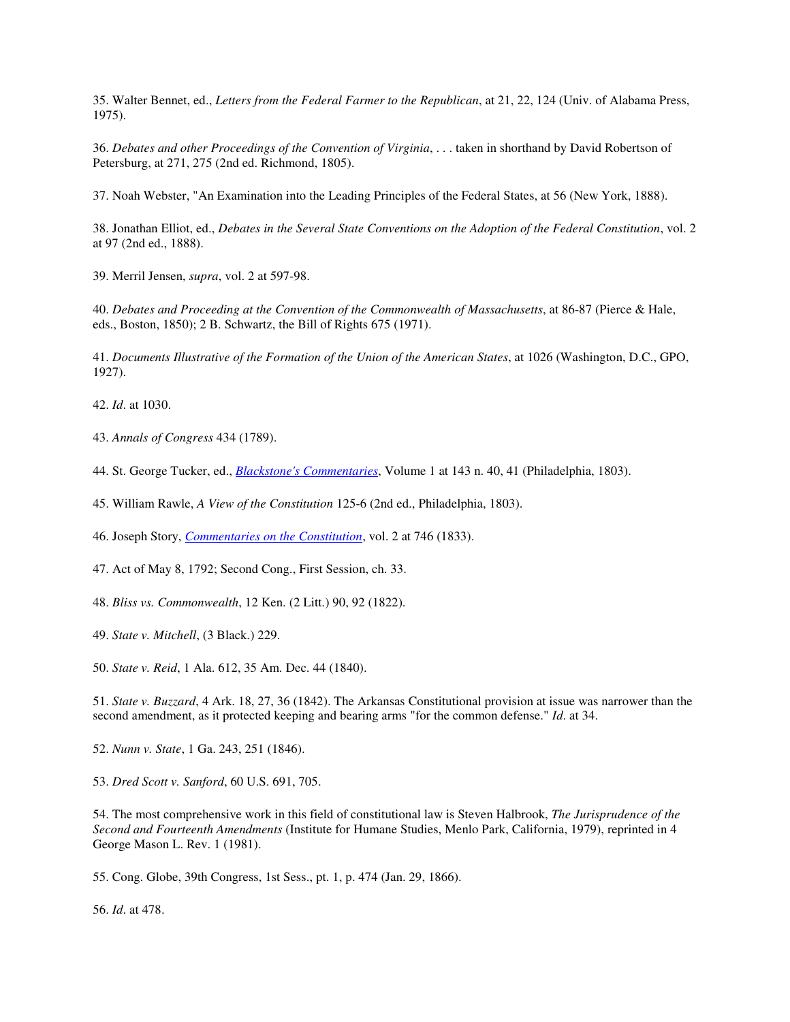35. Walter Bennet, ed., *Letters from the Federal Farmer to the Republican*, at 21, 22, 124 (Univ. of Alabama Press, 1975).

36. *Debates and other Proceedings of the Convention of Virginia*, . . . taken in shorthand by David Robertson of Petersburg, at 271, 275 (2nd ed. Richmond, 1805).

37. Noah Webster, "An Examination into the Leading Principles of the Federal States, at 56 (New York, 1888).

38. Jonathan Elliot, ed., *Debates in the Several State Conventions on the Adoption of the Federal Constitution*, vol. 2 at 97 (2nd ed., 1888).

39. Merril Jensen, *supra*, vol. 2 at 597-98.

40. *Debates and Proceeding at the Convention of the Commonwealth of Massachusetts*, at 86-87 (Pierce & Hale, eds., Boston, 1850); 2 B. Schwartz, the Bill of Rights 675 (1971).

41. *Documents Illustrative of the Formation of the Union of the American States*, at 1026 (Washington, D.C., GPO, 1927).

42. *Id*. at 1030.

43. *Annals of Congress* 434 (1789).

44. St. George Tucker, ed., *Blackstone's Commentaries*, Volume 1 at 143 n. 40, 41 (Philadelphia, 1803).

45. William Rawle, *A View of the Constitution* 125-6 (2nd ed., Philadelphia, 1803).

46. Joseph Story, *Commentaries on the Constitution*, vol. 2 at 746 (1833).

47. Act of May 8, 1792; Second Cong., First Session, ch. 33.

48. *Bliss vs. Commonwealth*, 12 Ken. (2 Litt.) 90, 92 (1822).

49. *State v. Mitchell*, (3 Black.) 229.

50. *State v. Reid*, 1 Ala. 612, 35 Am. Dec. 44 (1840).

51. *State v. Buzzard*, 4 Ark. 18, 27, 36 (1842). The Arkansas Constitutional provision at issue was narrower than the second amendment, as it protected keeping and bearing arms "for the common defense." *Id*. at 34.

52. *Nunn v. State*, 1 Ga. 243, 251 (1846).

53. *Dred Scott v. Sanford*, 60 U.S. 691, 705.

54. The most comprehensive work in this field of constitutional law is Steven Halbrook, *The Jurisprudence of the Second and Fourteenth Amendments* (Institute for Humane Studies, Menlo Park, California, 1979), reprinted in 4 George Mason L. Rev. 1 (1981).

55. Cong. Globe, 39th Congress, 1st Sess., pt. 1, p. 474 (Jan. 29, 1866).

56. *Id*. at 478.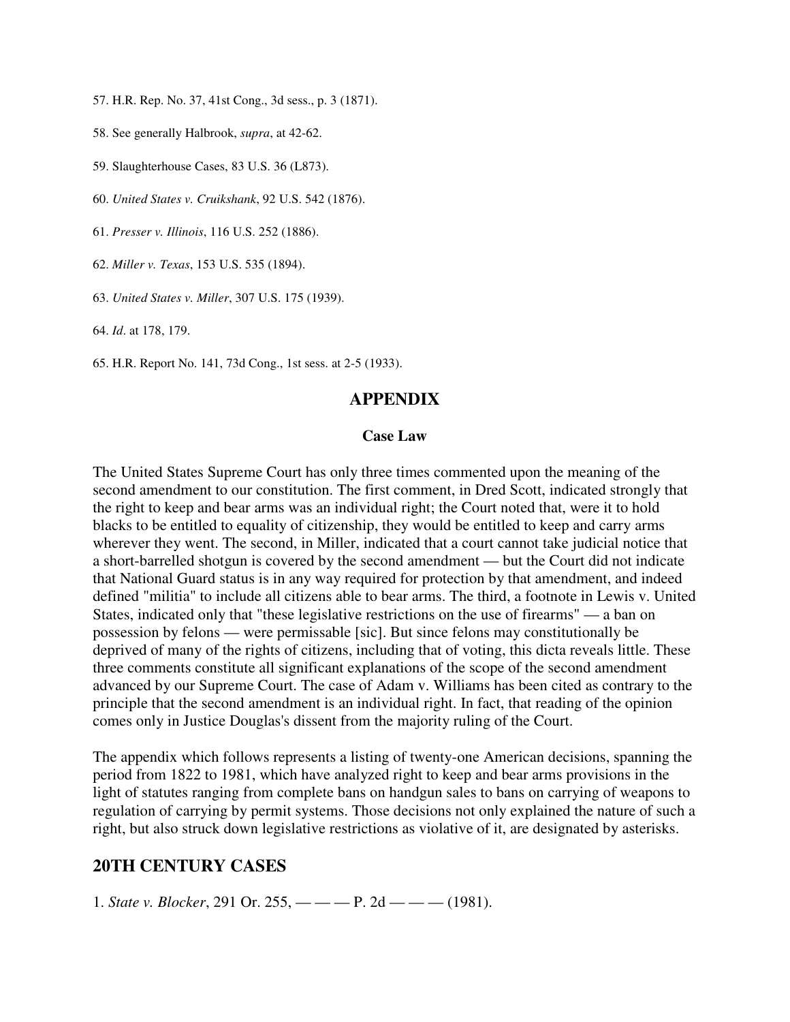57. H.R. Rep. No. 37, 41st Cong., 3d sess., p. 3 (1871).

58. See generally Halbrook, *supra*, at 42-62.

59. Slaughterhouse Cases, 83 U.S. 36 (L873).

60. *United States v. Cruikshank*, 92 U.S. 542 (1876).

61. *Presser v. Illinois*, 116 U.S. 252 (1886).

62. *Miller v. Texas*, 153 U.S. 535 (1894).

63. *United States v. Miller*, 307 U.S. 175 (1939).

64. *Id*. at 178, 179.

65. H.R. Report No. 141, 73d Cong., 1st sess. at 2-5 (1933).

# **APPENDIX**

#### **Case Law**

The United States Supreme Court has only three times commented upon the meaning of the second amendment to our constitution. The first comment, in Dred Scott, indicated strongly that the right to keep and bear arms was an individual right; the Court noted that, were it to hold blacks to be entitled to equality of citizenship, they would be entitled to keep and carry arms wherever they went. The second, in Miller, indicated that a court cannot take judicial notice that a short-barrelled shotgun is covered by the second amendment — but the Court did not indicate that National Guard status is in any way required for protection by that amendment, and indeed defined "militia" to include all citizens able to bear arms. The third, a footnote in Lewis v. United States, indicated only that "these legislative restrictions on the use of firearms" — a ban on possession by felons — were permissable [sic]. But since felons may constitutionally be deprived of many of the rights of citizens, including that of voting, this dicta reveals little. These three comments constitute all significant explanations of the scope of the second amendment advanced by our Supreme Court. The case of Adam v. Williams has been cited as contrary to the principle that the second amendment is an individual right. In fact, that reading of the opinion comes only in Justice Douglas's dissent from the majority ruling of the Court.

The appendix which follows represents a listing of twenty-one American decisions, spanning the period from 1822 to 1981, which have analyzed right to keep and bear arms provisions in the light of statutes ranging from complete bans on handgun sales to bans on carrying of weapons to regulation of carrying by permit systems. Those decisions not only explained the nature of such a right, but also struck down legislative restrictions as violative of it, are designated by asterisks.

# **20TH CENTURY CASES**

1. *State v. Blocker*, 291 Or. 255, — — — P. 2d — — — (1981).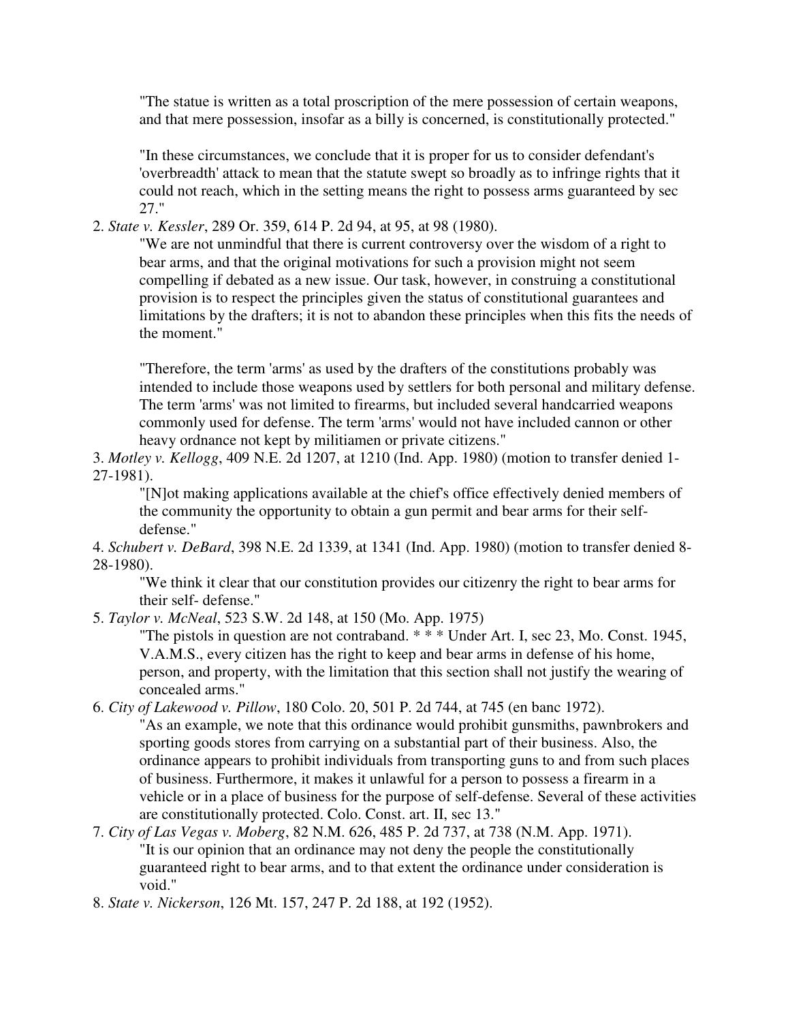"The statue is written as a total proscription of the mere possession of certain weapons, and that mere possession, insofar as a billy is concerned, is constitutionally protected."

"In these circumstances, we conclude that it is proper for us to consider defendant's 'overbreadth' attack to mean that the statute swept so broadly as to infringe rights that it could not reach, which in the setting means the right to possess arms guaranteed by sec 27."

2. *State v. Kessler*, 289 Or. 359, 614 P. 2d 94, at 95, at 98 (1980).

"We are not unmindful that there is current controversy over the wisdom of a right to bear arms, and that the original motivations for such a provision might not seem compelling if debated as a new issue. Our task, however, in construing a constitutional provision is to respect the principles given the status of constitutional guarantees and limitations by the drafters; it is not to abandon these principles when this fits the needs of the moment."

"Therefore, the term 'arms' as used by the drafters of the constitutions probably was intended to include those weapons used by settlers for both personal and military defense. The term 'arms' was not limited to firearms, but included several handcarried weapons commonly used for defense. The term 'arms' would not have included cannon or other heavy ordnance not kept by militiamen or private citizens."

3. *Motley v. Kellogg*, 409 N.E. 2d 1207, at 1210 (Ind. App. 1980) (motion to transfer denied 1- 27-1981).

"[N]ot making applications available at the chief's office effectively denied members of the community the opportunity to obtain a gun permit and bear arms for their selfdefense."

4. *Schubert v. DeBard*, 398 N.E. 2d 1339, at 1341 (Ind. App. 1980) (motion to transfer denied 8- 28-1980).

"We think it clear that our constitution provides our citizenry the right to bear arms for their self- defense."

5. *Taylor v. McNeal*, 523 S.W. 2d 148, at 150 (Mo. App. 1975)

"The pistols in question are not contraband. \* \* \* Under Art. I, sec 23, Mo. Const. 1945, V.A.M.S., every citizen has the right to keep and bear arms in defense of his home, person, and property, with the limitation that this section shall not justify the wearing of concealed arms."

6. *City of Lakewood v. Pillow*, 180 Colo. 20, 501 P. 2d 744, at 745 (en banc 1972).

- "As an example, we note that this ordinance would prohibit gunsmiths, pawnbrokers and sporting goods stores from carrying on a substantial part of their business. Also, the ordinance appears to prohibit individuals from transporting guns to and from such places of business. Furthermore, it makes it unlawful for a person to possess a firearm in a vehicle or in a place of business for the purpose of self-defense. Several of these activities are constitutionally protected. Colo. Const. art. II, sec 13."
- 7. *City of Las Vegas v. Moberg*, 82 N.M. 626, 485 P. 2d 737, at 738 (N.M. App. 1971). "It is our opinion that an ordinance may not deny the people the constitutionally guaranteed right to bear arms, and to that extent the ordinance under consideration is void."
- 8. *State v. Nickerson*, 126 Mt. 157, 247 P. 2d 188, at 192 (1952).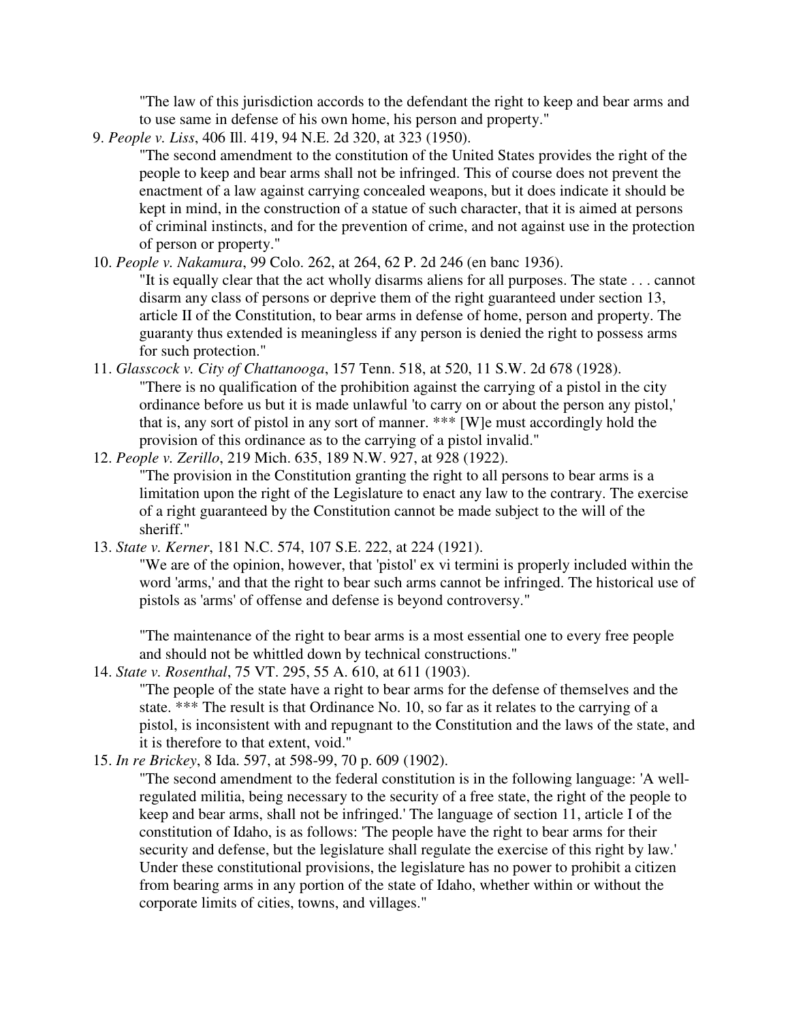"The law of this jurisdiction accords to the defendant the right to keep and bear arms and to use same in defense of his own home, his person and property."

9. *People v. Liss*, 406 Ill. 419, 94 N.E. 2d 320, at 323 (1950).

"The second amendment to the constitution of the United States provides the right of the people to keep and bear arms shall not be infringed. This of course does not prevent the enactment of a law against carrying concealed weapons, but it does indicate it should be kept in mind, in the construction of a statue of such character, that it is aimed at persons of criminal instincts, and for the prevention of crime, and not against use in the protection of person or property."

10. *People v. Nakamura*, 99 Colo. 262, at 264, 62 P. 2d 246 (en banc 1936).

"It is equally clear that the act wholly disarms aliens for all purposes. The state . . . cannot disarm any class of persons or deprive them of the right guaranteed under section 13, article II of the Constitution, to bear arms in defense of home, person and property. The guaranty thus extended is meaningless if any person is denied the right to possess arms for such protection."

11. *Glasscock v. City of Chattanooga*, 157 Tenn. 518, at 520, 11 S.W. 2d 678 (1928). "There is no qualification of the prohibition against the carrying of a pistol in the city ordinance before us but it is made unlawful 'to carry on or about the person any pistol,' that is, any sort of pistol in any sort of manner. \*\*\* [W]e must accordingly hold the provision of this ordinance as to the carrying of a pistol invalid."

12. *People v. Zerillo*, 219 Mich. 635, 189 N.W. 927, at 928 (1922).

"The provision in the Constitution granting the right to all persons to bear arms is a limitation upon the right of the Legislature to enact any law to the contrary. The exercise of a right guaranteed by the Constitution cannot be made subject to the will of the sheriff."

13. *State v. Kerner*, 181 N.C. 574, 107 S.E. 222, at 224 (1921).

"We are of the opinion, however, that 'pistol' ex vi termini is properly included within the word 'arms,' and that the right to bear such arms cannot be infringed. The historical use of pistols as 'arms' of offense and defense is beyond controversy."

"The maintenance of the right to bear arms is a most essential one to every free people and should not be whittled down by technical constructions."

14. *State v. Rosenthal*, 75 VT. 295, 55 A. 610, at 611 (1903).

"The people of the state have a right to bear arms for the defense of themselves and the state. \*\*\* The result is that Ordinance No. 10, so far as it relates to the carrying of a pistol, is inconsistent with and repugnant to the Constitution and the laws of the state, and it is therefore to that extent, void."

15. *In re Brickey*, 8 Ida. 597, at 598-99, 70 p. 609 (1902).

"The second amendment to the federal constitution is in the following language: 'A wellregulated militia, being necessary to the security of a free state, the right of the people to keep and bear arms, shall not be infringed.' The language of section 11, article I of the constitution of Idaho, is as follows: 'The people have the right to bear arms for their security and defense, but the legislature shall regulate the exercise of this right by law.' Under these constitutional provisions, the legislature has no power to prohibit a citizen from bearing arms in any portion of the state of Idaho, whether within or without the corporate limits of cities, towns, and villages."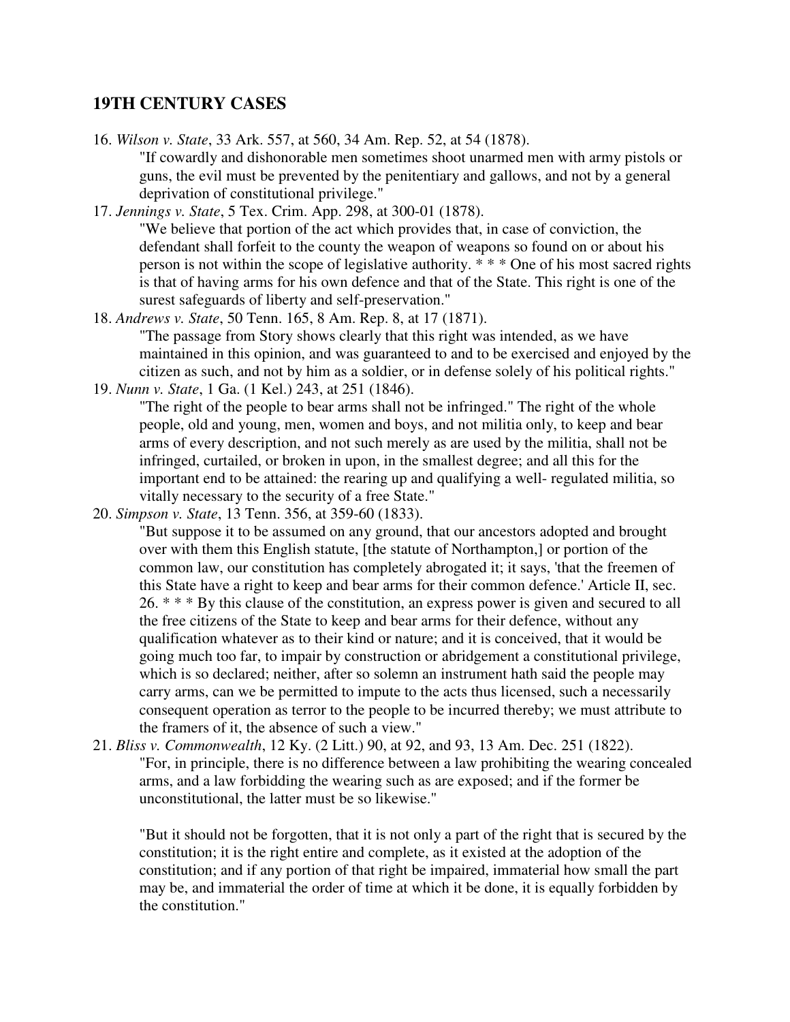# **19TH CENTURY CASES**

16. *Wilson v. State*, 33 Ark. 557, at 560, 34 Am. Rep. 52, at 54 (1878). "If cowardly and dishonorable men sometimes shoot unarmed men with army pistols or guns, the evil must be prevented by the penitentiary and gallows, and not by a general deprivation of constitutional privilege."

- 17. *Jennings v. State*, 5 Tex. Crim. App. 298, at 300-01 (1878). "We believe that portion of the act which provides that, in case of conviction, the defendant shall forfeit to the county the weapon of weapons so found on or about his person is not within the scope of legislative authority. \* \* \* One of his most sacred rights is that of having arms for his own defence and that of the State. This right is one of the surest safeguards of liberty and self-preservation."
- 18. *Andrews v. State*, 50 Tenn. 165, 8 Am. Rep. 8, at 17 (1871). "The passage from Story shows clearly that this right was intended, as we have maintained in this opinion, and was guaranteed to and to be exercised and enjoyed by the citizen as such, and not by him as a soldier, or in defense solely of his political rights."
- 19. *Nunn v. State*, 1 Ga. (1 Kel.) 243, at 251 (1846).

"The right of the people to bear arms shall not be infringed." The right of the whole people, old and young, men, women and boys, and not militia only, to keep and bear arms of every description, and not such merely as are used by the militia, shall not be infringed, curtailed, or broken in upon, in the smallest degree; and all this for the important end to be attained: the rearing up and qualifying a well- regulated militia, so vitally necessary to the security of a free State."

20. *Simpson v. State*, 13 Tenn. 356, at 359-60 (1833).

"But suppose it to be assumed on any ground, that our ancestors adopted and brought over with them this English statute, [the statute of Northampton,] or portion of the common law, our constitution has completely abrogated it; it says, 'that the freemen of this State have a right to keep and bear arms for their common defence.' Article II, sec. 26. \* \* \* By this clause of the constitution, an express power is given and secured to all the free citizens of the State to keep and bear arms for their defence, without any qualification whatever as to their kind or nature; and it is conceived, that it would be going much too far, to impair by construction or abridgement a constitutional privilege, which is so declared; neither, after so solemn an instrument hath said the people may carry arms, can we be permitted to impute to the acts thus licensed, such a necessarily consequent operation as terror to the people to be incurred thereby; we must attribute to the framers of it, the absence of such a view."

21. *Bliss v. Commonwealth*, 12 Ky. (2 Litt.) 90, at 92, and 93, 13 Am. Dec. 251 (1822). "For, in principle, there is no difference between a law prohibiting the wearing concealed arms, and a law forbidding the wearing such as are exposed; and if the former be unconstitutional, the latter must be so likewise."

"But it should not be forgotten, that it is not only a part of the right that is secured by the constitution; it is the right entire and complete, as it existed at the adoption of the constitution; and if any portion of that right be impaired, immaterial how small the part may be, and immaterial the order of time at which it be done, it is equally forbidden by the constitution."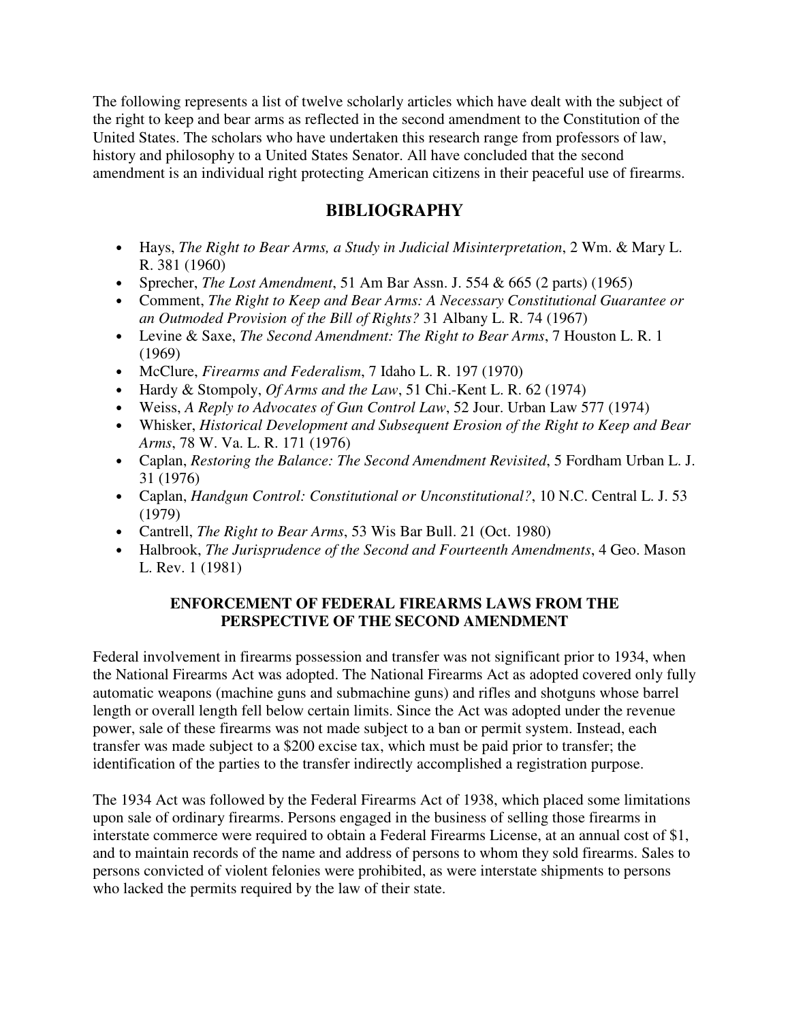The following represents a list of twelve scholarly articles which have dealt with the subject of the right to keep and bear arms as reflected in the second amendment to the Constitution of the United States. The scholars who have undertaken this research range from professors of law, history and philosophy to a United States Senator. All have concluded that the second amendment is an individual right protecting American citizens in their peaceful use of firearms.

# **BIBLIOGRAPHY**

- Hays, *The Right to Bear Arms, a Study in Judicial Misinterpretation*, 2 Wm. & Mary L. R. 381 (1960)
- Sprecher, *The Lost Amendment*, 51 Am Bar Assn. J. 554 & 665 (2 parts) (1965)
- Comment, *The Right to Keep and Bear Arms: A Necessary Constitutional Guarantee or an Outmoded Provision of the Bill of Rights?* 31 Albany L. R. 74 (1967)
- Levine & Saxe, *The Second Amendment: The Right to Bear Arms*, 7 Houston L. R. 1 (1969)
- McClure, *Firearms and Federalism*, 7 Idaho L. R. 197 (1970)
- Hardy & Stompoly, *Of Arms and the Law*, 51 Chi.-Kent L. R. 62 (1974)
- Weiss, *A Reply to Advocates of Gun Control Law*, 52 Jour. Urban Law 577 (1974)
- Whisker, *Historical Development and Subsequent Erosion of the Right to Keep and Bear Arms*, 78 W. Va. L. R. 171 (1976)
- Caplan, *Restoring the Balance: The Second Amendment Revisited*, 5 Fordham Urban L. J. 31 (1976)
- Caplan, *Handgun Control: Constitutional or Unconstitutional?*, 10 N.C. Central L. J. 53 (1979)
- Cantrell, *The Right to Bear Arms*, 53 Wis Bar Bull. 21 (Oct. 1980)
- Halbrook, *The Jurisprudence of the Second and Fourteenth Amendments*, 4 Geo. Mason L. Rev. 1 (1981)

# **ENFORCEMENT OF FEDERAL FIREARMS LAWS FROM THE PERSPECTIVE OF THE SECOND AMENDMENT**

Federal involvement in firearms possession and transfer was not significant prior to 1934, when the National Firearms Act was adopted. The National Firearms Act as adopted covered only fully automatic weapons (machine guns and submachine guns) and rifles and shotguns whose barrel length or overall length fell below certain limits. Since the Act was adopted under the revenue power, sale of these firearms was not made subject to a ban or permit system. Instead, each transfer was made subject to a \$200 excise tax, which must be paid prior to transfer; the identification of the parties to the transfer indirectly accomplished a registration purpose.

The 1934 Act was followed by the Federal Firearms Act of 1938, which placed some limitations upon sale of ordinary firearms. Persons engaged in the business of selling those firearms in interstate commerce were required to obtain a Federal Firearms License, at an annual cost of \$1, and to maintain records of the name and address of persons to whom they sold firearms. Sales to persons convicted of violent felonies were prohibited, as were interstate shipments to persons who lacked the permits required by the law of their state.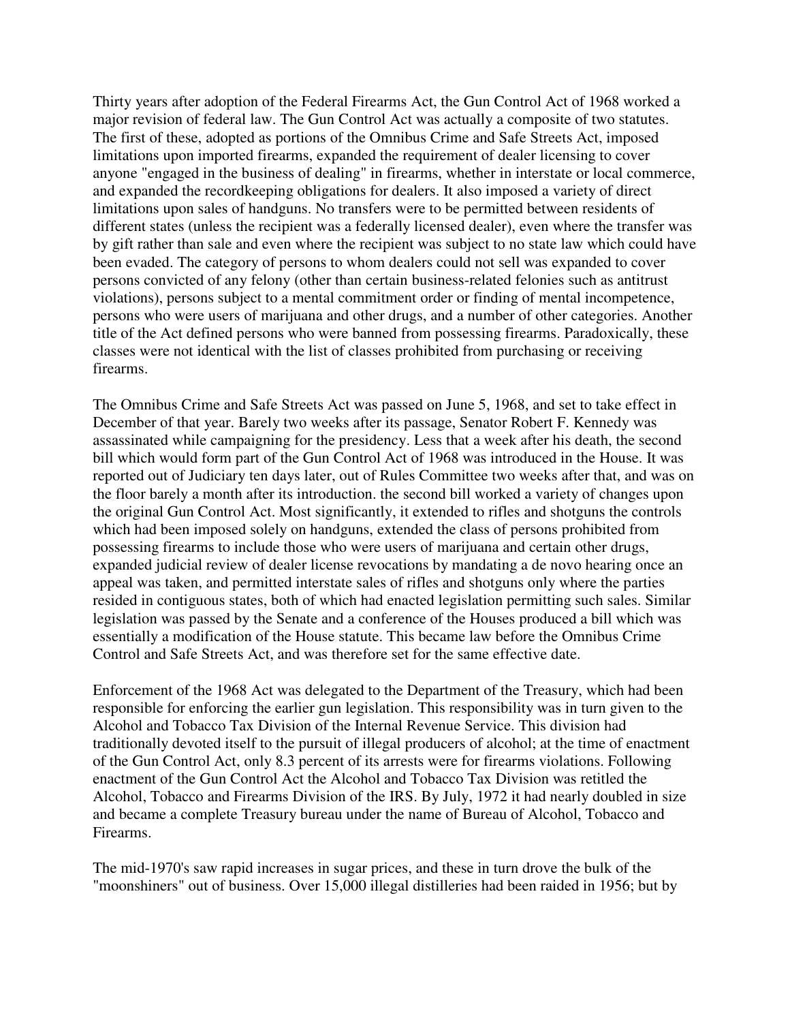Thirty years after adoption of the Federal Firearms Act, the Gun Control Act of 1968 worked a major revision of federal law. The Gun Control Act was actually a composite of two statutes. The first of these, adopted as portions of the Omnibus Crime and Safe Streets Act, imposed limitations upon imported firearms, expanded the requirement of dealer licensing to cover anyone "engaged in the business of dealing" in firearms, whether in interstate or local commerce, and expanded the recordkeeping obligations for dealers. It also imposed a variety of direct limitations upon sales of handguns. No transfers were to be permitted between residents of different states (unless the recipient was a federally licensed dealer), even where the transfer was by gift rather than sale and even where the recipient was subject to no state law which could have been evaded. The category of persons to whom dealers could not sell was expanded to cover persons convicted of any felony (other than certain business-related felonies such as antitrust violations), persons subject to a mental commitment order or finding of mental incompetence, persons who were users of marijuana and other drugs, and a number of other categories. Another title of the Act defined persons who were banned from possessing firearms. Paradoxically, these classes were not identical with the list of classes prohibited from purchasing or receiving firearms.

The Omnibus Crime and Safe Streets Act was passed on June 5, 1968, and set to take effect in December of that year. Barely two weeks after its passage, Senator Robert F. Kennedy was assassinated while campaigning for the presidency. Less that a week after his death, the second bill which would form part of the Gun Control Act of 1968 was introduced in the House. It was reported out of Judiciary ten days later, out of Rules Committee two weeks after that, and was on the floor barely a month after its introduction. the second bill worked a variety of changes upon the original Gun Control Act. Most significantly, it extended to rifles and shotguns the controls which had been imposed solely on handguns, extended the class of persons prohibited from possessing firearms to include those who were users of marijuana and certain other drugs, expanded judicial review of dealer license revocations by mandating a de novo hearing once an appeal was taken, and permitted interstate sales of rifles and shotguns only where the parties resided in contiguous states, both of which had enacted legislation permitting such sales. Similar legislation was passed by the Senate and a conference of the Houses produced a bill which was essentially a modification of the House statute. This became law before the Omnibus Crime Control and Safe Streets Act, and was therefore set for the same effective date.

Enforcement of the 1968 Act was delegated to the Department of the Treasury, which had been responsible for enforcing the earlier gun legislation. This responsibility was in turn given to the Alcohol and Tobacco Tax Division of the Internal Revenue Service. This division had traditionally devoted itself to the pursuit of illegal producers of alcohol; at the time of enactment of the Gun Control Act, only 8.3 percent of its arrests were for firearms violations. Following enactment of the Gun Control Act the Alcohol and Tobacco Tax Division was retitled the Alcohol, Tobacco and Firearms Division of the IRS. By July, 1972 it had nearly doubled in size and became a complete Treasury bureau under the name of Bureau of Alcohol, Tobacco and Firearms.

The mid-1970's saw rapid increases in sugar prices, and these in turn drove the bulk of the "moonshiners" out of business. Over 15,000 illegal distilleries had been raided in 1956; but by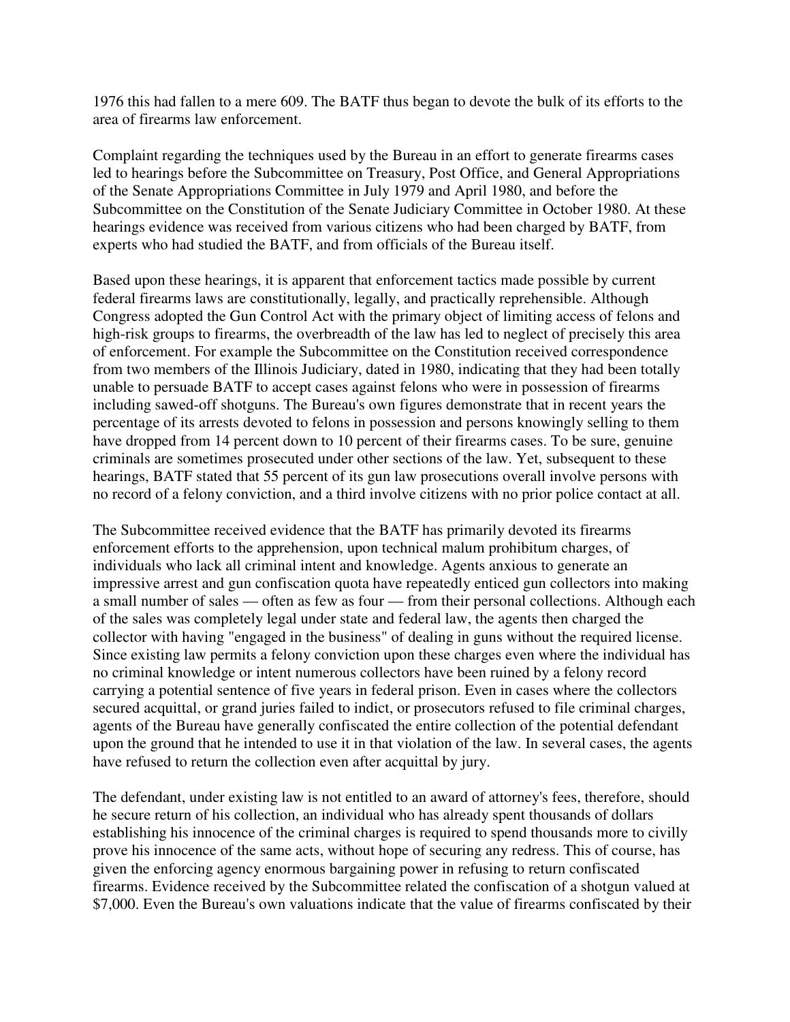1976 this had fallen to a mere 609. The BATF thus began to devote the bulk of its efforts to the area of firearms law enforcement.

Complaint regarding the techniques used by the Bureau in an effort to generate firearms cases led to hearings before the Subcommittee on Treasury, Post Office, and General Appropriations of the Senate Appropriations Committee in July 1979 and April 1980, and before the Subcommittee on the Constitution of the Senate Judiciary Committee in October 1980. At these hearings evidence was received from various citizens who had been charged by BATF, from experts who had studied the BATF, and from officials of the Bureau itself.

Based upon these hearings, it is apparent that enforcement tactics made possible by current federal firearms laws are constitutionally, legally, and practically reprehensible. Although Congress adopted the Gun Control Act with the primary object of limiting access of felons and high-risk groups to firearms, the overbreadth of the law has led to neglect of precisely this area of enforcement. For example the Subcommittee on the Constitution received correspondence from two members of the Illinois Judiciary, dated in 1980, indicating that they had been totally unable to persuade BATF to accept cases against felons who were in possession of firearms including sawed-off shotguns. The Bureau's own figures demonstrate that in recent years the percentage of its arrests devoted to felons in possession and persons knowingly selling to them have dropped from 14 percent down to 10 percent of their firearms cases. To be sure, genuine criminals are sometimes prosecuted under other sections of the law. Yet, subsequent to these hearings, BATF stated that 55 percent of its gun law prosecutions overall involve persons with no record of a felony conviction, and a third involve citizens with no prior police contact at all.

The Subcommittee received evidence that the BATF has primarily devoted its firearms enforcement efforts to the apprehension, upon technical malum prohibitum charges, of individuals who lack all criminal intent and knowledge. Agents anxious to generate an impressive arrest and gun confiscation quota have repeatedly enticed gun collectors into making a small number of sales — often as few as four — from their personal collections. Although each of the sales was completely legal under state and federal law, the agents then charged the collector with having "engaged in the business" of dealing in guns without the required license. Since existing law permits a felony conviction upon these charges even where the individual has no criminal knowledge or intent numerous collectors have been ruined by a felony record carrying a potential sentence of five years in federal prison. Even in cases where the collectors secured acquittal, or grand juries failed to indict, or prosecutors refused to file criminal charges, agents of the Bureau have generally confiscated the entire collection of the potential defendant upon the ground that he intended to use it in that violation of the law. In several cases, the agents have refused to return the collection even after acquittal by jury.

The defendant, under existing law is not entitled to an award of attorney's fees, therefore, should he secure return of his collection, an individual who has already spent thousands of dollars establishing his innocence of the criminal charges is required to spend thousands more to civilly prove his innocence of the same acts, without hope of securing any redress. This of course, has given the enforcing agency enormous bargaining power in refusing to return confiscated firearms. Evidence received by the Subcommittee related the confiscation of a shotgun valued at \$7,000. Even the Bureau's own valuations indicate that the value of firearms confiscated by their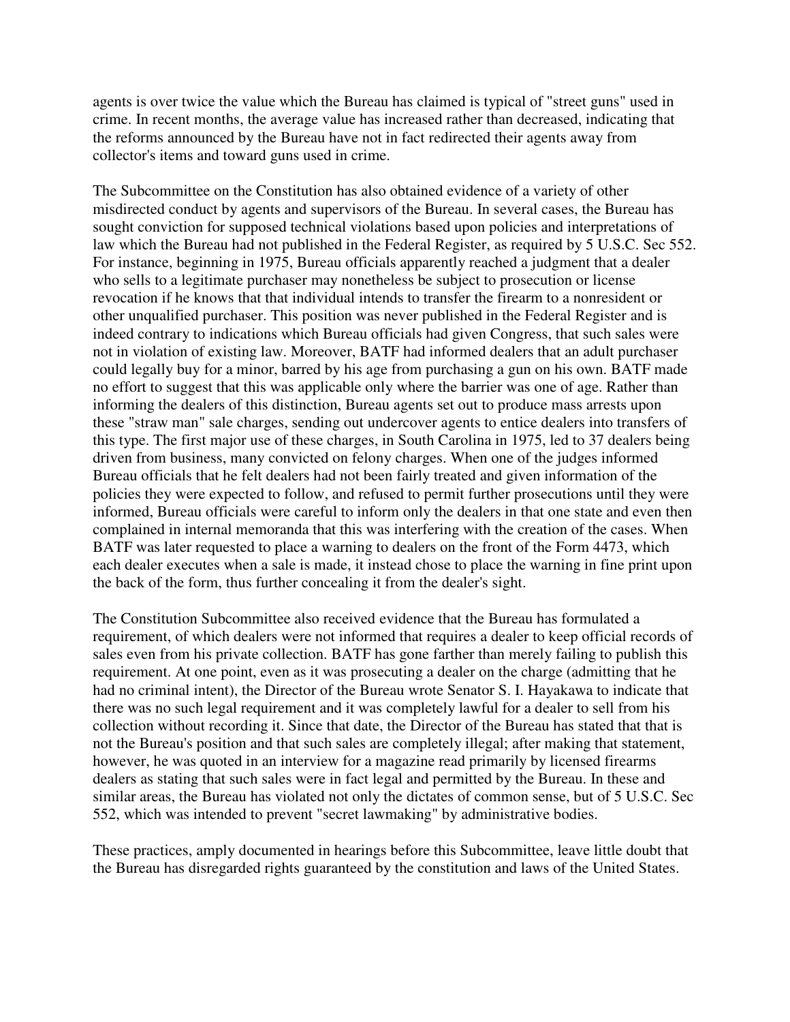agents is over twice the value which the Bureau has claimed is typical of "street guns" used in crime. In recent months, the average value has increased rather than decreased, indicating that the reforms announced by the Bureau have not in fact redirected their agents away from collector's items and toward guns used in crime.

The Subcommittee on the Constitution has also obtained evidence of a variety of other misdirected conduct by agents and supervisors of the Bureau. In several cases, the Bureau has sought conviction for supposed technical violations based upon policies and interpretations of law which the Bureau had not published in the Federal Register, as required by 5 U.S.C. Sec 552. For instance, beginning in 1975, Bureau officials apparently reached a judgment that a dealer who sells to a legitimate purchaser may nonetheless be subject to prosecution or license revocation if he knows that that individual intends to transfer the firearm to a nonresident or other unqualified purchaser. This position was never published in the Federal Register and is indeed contrary to indications which Bureau officials had given Congress, that such sales were not in violation of existing law. Moreover, BATF had informed dealers that an adult purchaser could legally buy for a minor, barred by his age from purchasing a gun on his own. BATF made no effort to suggest that this was applicable only where the barrier was one of age. Rather than informing the dealers of this distinction, Bureau agents set out to produce mass arrests upon these "straw man" sale charges, sending out undercover agents to entice dealers into transfers of this type. The first major use of these charges, in South Carolina in 1975, led to 37 dealers being driven from business, many convicted on felony charges. When one of the judges informed Bureau officials that he felt dealers had not been fairly treated and given information of the policies they were expected to follow, and refused to permit further prosecutions until they were informed, Bureau officials were careful to inform only the dealers in that one state and even then complained in internal memoranda that this was interfering with the creation of the cases. When BATF was later requested to place a warning to dealers on the front of the Form 4473, which each dealer executes when a sale is made, it instead chose to place the warning in fine print upon the back of the form, thus further concealing it from the dealer's sight.

The Constitution Subcommittee also received evidence that the Bureau has formulated a requirement, of which dealers were not informed that requires a dealer to keep official records of sales even from his private collection. BATF has gone farther than merely failing to publish this requirement. At one point, even as it was prosecuting a dealer on the charge (admitting that he had no criminal intent), the Director of the Bureau wrote Senator S. I. Hayakawa to indicate that there was no such legal requirement and it was completely lawful for a dealer to sell from his collection without recording it. Since that date, the Director of the Bureau has stated that that is not the Bureau's position and that such sales are completely illegal; after making that statement, however, he was quoted in an interview for a magazine read primarily by licensed firearms dealers as stating that such sales were in fact legal and permitted by the Bureau. In these and similar areas, the Bureau has violated not only the dictates of common sense, but of 5 U.S.C. Sec 552, which was intended to prevent "secret lawmaking" by administrative bodies.

These practices, amply documented in hearings before this Subcommittee, leave little doubt that the Bureau has disregarded rights guaranteed by the constitution and laws of the United States.